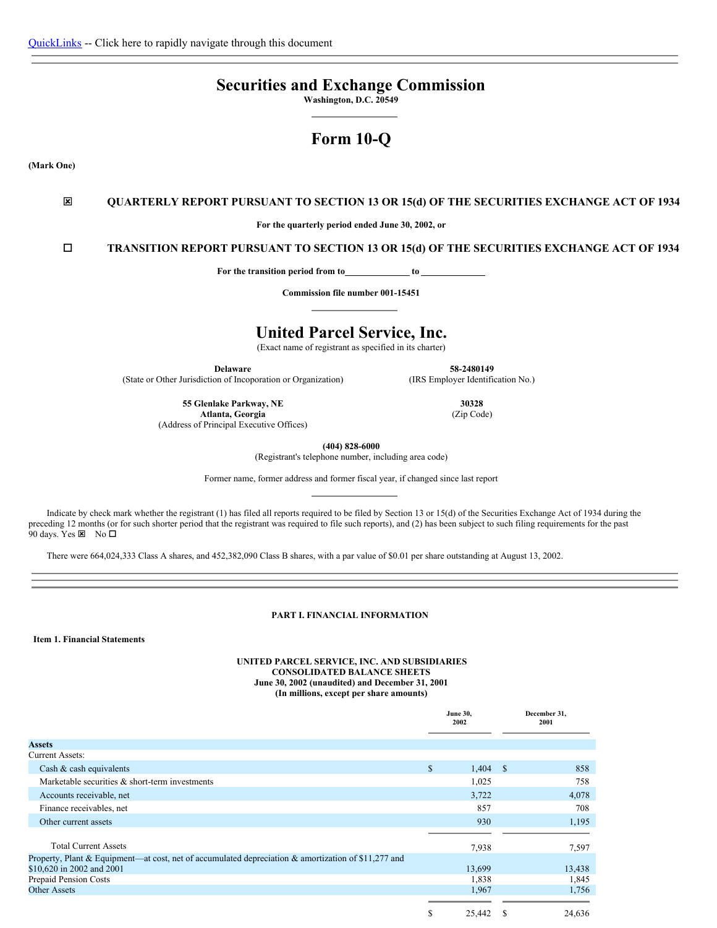# **Securities and Exchange Commission**

**Washington, D.C. 20549**

# **Form 10-Q**

**(Mark One)**

### ý **QUARTERLY REPORT PURSUANT TO SECTION 13 OR 15(d) OF THE SECURITIES EXCHANGE ACT OF 1934**

**For the quarterly period ended June 30, 2002, or**

o **TRANSITION REPORT PURSUANT TO SECTION 13 OR 15(d) OF THE SECURITIES EXCHANGE ACT OF 1934**

**For the transition period from to to**

**Commission file number 001-15451**

## **United Parcel Service, Inc.**

(Exact name of registrant as specified in its charter)

**Delaware**

(State or Other Jurisdiction of Incoporation or Organization)

**55 Glenlake Parkway, NE Atlanta, Georgia**

(Address of Principal Executive Offices)

**(404) 828-6000**

(Registrant's telephone number, including area code)

Former name, former address and former fiscal year, if changed since last report

Indicate by check mark whether the registrant (1) has filed all reports required to be filed by Section 13 or 15(d) of the Securities Exchange Act of 1934 during the preceding 12 months (or for such shorter period that the registrant was required to file such reports), and (2) has been subject to such filing requirements for the past 90 days. Yes  $\times$  No  $\square$ 

There were 664,024,333 Class A shares, and 452,382,090 Class B shares, with a par value of \$0.01 per share outstanding at August 13, 2002.

### <span id="page-0-0"></span>**PART I. FINANCIAL INFORMATION**

<span id="page-0-1"></span>**Item 1. Financial Statements**

#### **UNITED PARCEL SERVICE, INC. AND SUBSIDIARIES CONSOLIDATED BALANCE SHEETS June 30, 2002 (unaudited) and December 31, 2001 (In millions, except per share amounts)**

|                                                                                                     | <b>June 30,</b><br>2002 |            |   | December 31,<br>2001 |
|-----------------------------------------------------------------------------------------------------|-------------------------|------------|---|----------------------|
| <b>Assets</b>                                                                                       |                         |            |   |                      |
| <b>Current Assets:</b>                                                                              |                         |            |   |                      |
| Cash $\&$ cash equivalents                                                                          | \$                      | $1,404$ \$ |   | 858                  |
| Marketable securities & short-term investments                                                      |                         | 1,025      |   | 758                  |
| Accounts receivable, net                                                                            |                         | 3,722      |   | 4,078                |
| Finance receivables, net                                                                            |                         | 857        |   | 708                  |
| Other current assets                                                                                |                         | 930        |   | 1,195                |
|                                                                                                     |                         |            |   |                      |
| <b>Total Current Assets</b>                                                                         |                         | 7,938      |   | 7,597                |
| Property, Plant & Equipment—at cost, net of accumulated depreciation & amortization of \$11,277 and |                         |            |   |                      |
| \$10,620 in 2002 and 2001                                                                           |                         | 13,699     |   | 13,438               |
| Prepaid Pension Costs                                                                               |                         | 1,838      |   | 1,845                |
| <b>Other Assets</b>                                                                                 |                         | 1,967      |   | 1,756                |
|                                                                                                     |                         |            |   |                      |
|                                                                                                     | S                       | 25,442     | S | 24,636               |

**30328**

**58-2480149** (IRS Employer Identification No.)

(Zip Code)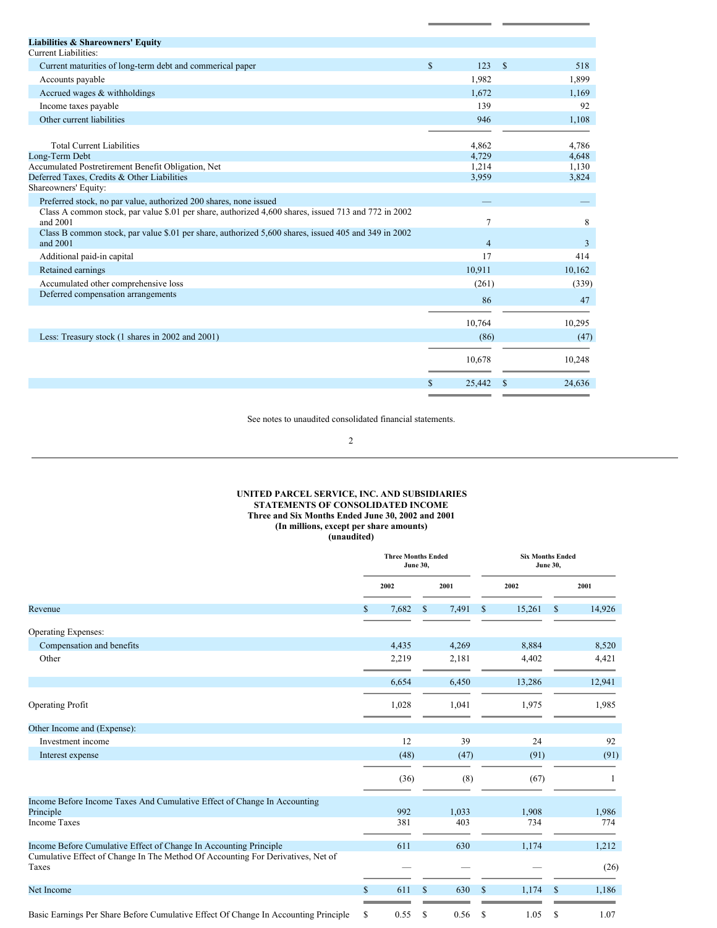| <b>Liabilities &amp; Shareowners' Equity</b>                                                                                                                                          |               |                |                    |        |
|---------------------------------------------------------------------------------------------------------------------------------------------------------------------------------------|---------------|----------------|--------------------|--------|
| Current Liabilities:                                                                                                                                                                  |               |                |                    |        |
| Current maturities of long-term debt and commerical paper                                                                                                                             | $\mathcal{S}$ | 123            | $\mathbf{\hat{s}}$ | 518    |
| Accounts payable                                                                                                                                                                      |               | 1,982          |                    | 1,899  |
| Accrued wages & withholdings                                                                                                                                                          |               | 1,672          |                    | 1,169  |
| Income taxes payable                                                                                                                                                                  |               | 139            |                    | 92     |
| Other current liabilities                                                                                                                                                             |               | 946            |                    | 1,108  |
| <b>Total Current Liabilities</b>                                                                                                                                                      |               | 4,862          |                    | 4,786  |
| Long-Term Debt                                                                                                                                                                        |               | 4,729          |                    | 4,648  |
| Accumulated Postretirement Benefit Obligation, Net                                                                                                                                    |               | 1,214          |                    | 1,130  |
| Deferred Taxes, Credits & Other Liabilities                                                                                                                                           |               | 3,959          |                    | 3,824  |
| Shareowners' Equity:                                                                                                                                                                  |               |                |                    |        |
| Preferred stock, no par value, authorized 200 shares, none issued<br>Class A common stock, par value \$.01 per share, authorized 4,600 shares, issued 713 and 772 in 2002<br>and 2001 |               | $\tau$         |                    | 8      |
| Class B common stock, par value \$.01 per share, authorized 5,600 shares, issued 405 and 349 in 2002<br>and 2001                                                                      |               | $\overline{4}$ |                    | 3      |
| Additional paid-in capital                                                                                                                                                            |               | 17             |                    | 414    |
| Retained earnings                                                                                                                                                                     |               | 10,911         |                    | 10.162 |
| Accumulated other comprehensive loss                                                                                                                                                  |               | (261)          |                    | (339)  |
| Deferred compensation arrangements                                                                                                                                                    |               | 86             |                    | 47     |
|                                                                                                                                                                                       |               |                |                    |        |
|                                                                                                                                                                                       |               | 10,764         |                    | 10,295 |
| Less: Treasury stock (1 shares in 2002 and 2001)                                                                                                                                      |               | (86)           |                    | (47)   |
|                                                                                                                                                                                       |               | 10,678         |                    | 10,248 |
|                                                                                                                                                                                       | S             | 25,442         |                    | 24,636 |
|                                                                                                                                                                                       |               |                |                    |        |

See notes to unaudited consolidated financial statements.

2

#### **UNITED PARCEL SERVICE, INC. AND SUBSIDIARIES STATEMENTS OF CONSOLIDATED INCOME Three and Six Months Ended June 30, 2002 and 2001 (In millions, except per share amounts) (unaudited)**

|                                                                                          | <b>Three Months Ended</b><br><b>June 30,</b> |       |              |       |               | <b>Six Months Ended</b><br><b>June 30,</b> |               |              |  |  |
|------------------------------------------------------------------------------------------|----------------------------------------------|-------|--------------|-------|---------------|--------------------------------------------|---------------|--------------|--|--|
|                                                                                          |                                              | 2002  |              | 2001  |               | 2002                                       |               | 2001         |  |  |
| Revenue                                                                                  | S                                            | 7,682 | $\mathbb{S}$ | 7,491 | <sup>\$</sup> | 15,261                                     | $\mathcal{S}$ | 14,926       |  |  |
| <b>Operating Expenses:</b>                                                               |                                              |       |              |       |               |                                            |               |              |  |  |
| Compensation and benefits                                                                |                                              | 4,435 |              | 4,269 |               | 8,884                                      |               | 8,520        |  |  |
| Other                                                                                    |                                              | 2,219 |              | 2,181 |               | 4,402                                      |               | 4,421        |  |  |
|                                                                                          |                                              | 6,654 |              | 6,450 |               | 13,286                                     |               | 12,941       |  |  |
| <b>Operating Profit</b>                                                                  |                                              | 1,028 |              | 1,041 |               | 1,975                                      |               | 1,985        |  |  |
| Other Income and (Expense):                                                              |                                              |       |              |       |               |                                            |               |              |  |  |
| Investment income                                                                        |                                              | 12    |              | 39    |               | 24                                         |               | 92           |  |  |
| Interest expense                                                                         |                                              | (48)  |              | (47)  |               | (91)                                       |               | (91)         |  |  |
|                                                                                          |                                              | (36)  |              | (8)   |               | (67)                                       |               | $\mathbf{1}$ |  |  |
| Income Before Income Taxes And Cumulative Effect of Change In Accounting                 |                                              |       |              |       |               |                                            |               |              |  |  |
| Principle                                                                                |                                              | 992   |              | 1,033 |               | 1,908                                      |               | 1,986        |  |  |
| <b>Income Taxes</b>                                                                      |                                              | 381   |              | 403   |               | 734                                        |               | 774          |  |  |
| Income Before Cumulative Effect of Change In Accounting Principle                        |                                              | 611   |              | 630   |               | 1,174                                      |               | 1,212        |  |  |
| Cumulative Effect of Change In The Method Of Accounting For Derivatives, Net of<br>Taxes |                                              |       |              |       |               |                                            |               | (26)         |  |  |
| Net Income                                                                               | $\mathbf S$                                  | 611   | $\mathbb{S}$ | 630   | <sup>\$</sup> | 1,174                                      | <sup>\$</sup> | 1,186        |  |  |
| Basic Earnings Per Share Before Cumulative Effect Of Change In Accounting Principle      | \$                                           | 0.55  | \$           | 0.56  | <sup>\$</sup> | 1.05                                       | <sup>\$</sup> | 1.07         |  |  |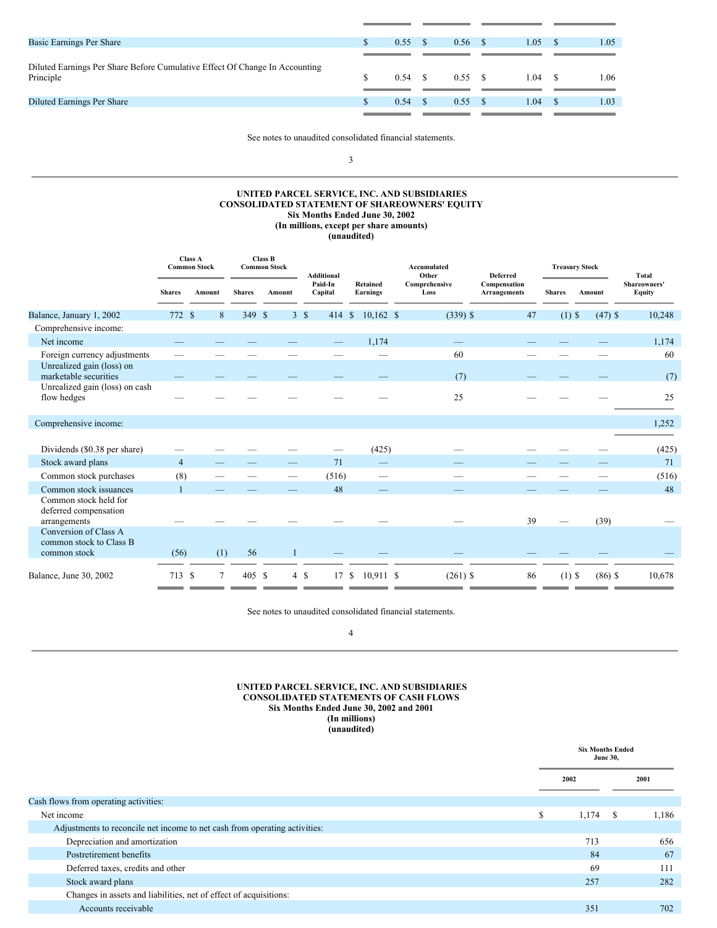| Basic Earnings Per Share                                                                 | 0.55            | 0.56 | 1.05 | 1.05 |
|------------------------------------------------------------------------------------------|-----------------|------|------|------|
|                                                                                          |                 |      |      |      |
| Diluted Earnings Per Share Before Cumulative Effect Of Change In Accounting<br>Principle | $0.54 \quad$ \$ | 0.55 | 1.04 | 1.06 |
|                                                                                          |                 |      |      |      |
| Diluted Earnings Per Share                                                               | 0.54            | 0.55 | 1.04 | 1.03 |
|                                                                                          |                 |      |      |      |

See notes to unaudited consolidated financial statements.

3

#### **UNITED PARCEL SERVICE, INC. AND SUBSIDIARIES CONSOLIDATED STATEMENT OF SHAREOWNERS' EQUITY Six Months Ended June 30, 2002 (In millions, except per share amounts) (unaudited)**

|                                                                  | <b>Class A</b><br><b>Common Stock</b> |             |               | Class B<br><b>Common Stock</b> | <b>Additional</b>  |                                 | Accumulated<br>Other  | <b>Deferred</b>                     |               | <b>Treasury Stock</b> | <b>Total</b>           |
|------------------------------------------------------------------|---------------------------------------|-------------|---------------|--------------------------------|--------------------|---------------------------------|-----------------------|-------------------------------------|---------------|-----------------------|------------------------|
|                                                                  | <b>Shares</b>                         | Amount      | <b>Shares</b> | Amount                         | Paid-In<br>Capital | Retained<br><b>Earnings</b>     | Comprehensive<br>Loss | Compensation<br><b>Arrangements</b> | <b>Shares</b> | Amount                | Shareowners'<br>Equity |
| Balance, January 1, 2002                                         | 772 \$                                | $\,$ 8 $\,$ | 349           | $\mathbb{S}$                   | 3S                 | 414 \$ 10,162 \$                | $(339)$ \$            | 47                                  | $(1)$ \$      | $(47)$ \$             | 10,248                 |
| Comprehensive income:                                            |                                       |             |               |                                |                    |                                 |                       |                                     |               |                       |                        |
| Net income                                                       |                                       |             |               |                                |                    | 1,174                           |                       |                                     |               |                       | 1,174                  |
| Foreign currency adjustments                                     |                                       |             |               |                                |                    |                                 | 60                    |                                     |               |                       | 60                     |
| Unrealized gain (loss) on<br>marketable securities               |                                       |             |               |                                |                    |                                 | (7)                   |                                     |               |                       | (7)                    |
| Unrealized gain (loss) on cash<br>flow hedges                    |                                       |             |               |                                |                    |                                 | 25                    |                                     |               |                       | 25                     |
| Comprehensive income:                                            |                                       |             |               |                                |                    |                                 |                       |                                     |               |                       | 1,252                  |
|                                                                  |                                       |             |               |                                |                    |                                 |                       |                                     |               |                       |                        |
| Dividends (\$0.38 per share)                                     |                                       |             |               |                                |                    | (425)                           |                       |                                     |               |                       | (425)                  |
| Stock award plans                                                | $\overline{4}$                        |             |               |                                | 71                 | $\hspace{0.1mm}-\hspace{0.1mm}$ |                       |                                     |               |                       | 71                     |
| Common stock purchases                                           | (8)                                   |             |               |                                | (516)              |                                 |                       |                                     |               |                       | (516)                  |
| Common stock issuances                                           |                                       |             |               |                                | 48                 |                                 |                       |                                     |               |                       | 48                     |
| Common stock held for<br>deferred compensation<br>arrangements   |                                       |             |               |                                |                    |                                 |                       | 39                                  |               | (39)                  |                        |
| Conversion of Class A<br>common stock to Class B<br>common stock | (56)                                  | (1)         | 56            |                                |                    |                                 |                       |                                     |               |                       |                        |
| Balance, June 30, 2002                                           | 713 \$                                | 7           | 405 \$        |                                | $4 \text{ }$<br>17 | $10,911$ \$<br><sup>\$</sup>    | $(261)$ \$            | 86                                  | $(1)$ \$      | $(86)$ \$             | 10,678                 |

See notes to unaudited consolidated financial statements.

4

#### **UNITED PARCEL SERVICE, INC. AND SUBSIDIARIES CONSOLIDATED STATEMENTS OF CASH FLOWS Six Months Ended June 30, 2002 and 2001 (In millions) (unaudited)**

|                                                                            |      |       | <b>Six Months Ended</b><br><b>June 30,</b> |       |  |  |
|----------------------------------------------------------------------------|------|-------|--------------------------------------------|-------|--|--|
|                                                                            | 2002 |       |                                            | 2001  |  |  |
| Cash flows from operating activities:                                      |      |       |                                            |       |  |  |
| Net income                                                                 |      | 1,174 | -S                                         | 1,186 |  |  |
| Adjustments to reconcile net income to net cash from operating activities: |      |       |                                            |       |  |  |
| Depreciation and amortization                                              |      | 713   |                                            | 656   |  |  |
| Postretirement benefits                                                    |      | 84    |                                            | 67    |  |  |
| Deferred taxes, credits and other                                          |      | 69    |                                            | 111   |  |  |
| Stock award plans                                                          |      | 257   |                                            | 282   |  |  |
| Changes in assets and liabilities, net of effect of acquisitions:          |      |       |                                            |       |  |  |
| Accounts receivable                                                        |      | 351   |                                            | 702   |  |  |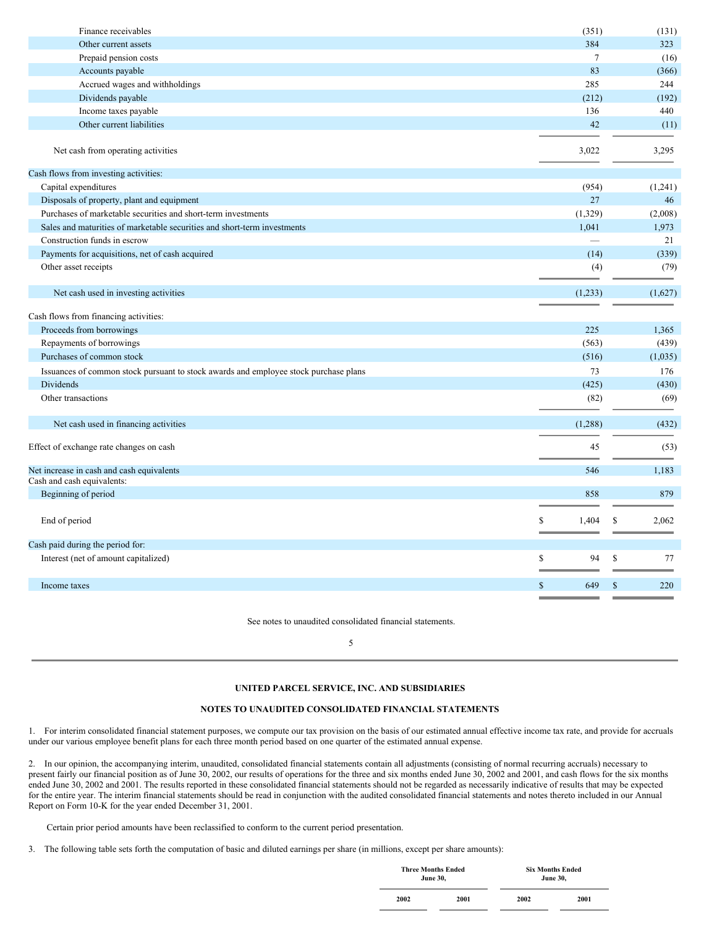| Finance receivables                                                                  | (351)                    | (131)               |
|--------------------------------------------------------------------------------------|--------------------------|---------------------|
| Other current assets                                                                 | 384                      | 323                 |
| Prepaid pension costs                                                                | $\overline{7}$           | (16)                |
| Accounts payable                                                                     | 83                       | (366)               |
| Accrued wages and withholdings                                                       | 285                      | 244                 |
| Dividends payable                                                                    | (212)                    | (192)               |
| Income taxes payable                                                                 | 136                      | 440                 |
| Other current liabilities                                                            | 42                       | (11)                |
| Net cash from operating activities                                                   | 3,022                    | 3,295               |
| Cash flows from investing activities:                                                |                          |                     |
| Capital expenditures                                                                 | (954)                    | (1,241)             |
| Disposals of property, plant and equipment                                           | 27                       | 46                  |
| Purchases of marketable securities and short-term investments                        | (1,329)                  | (2,008)             |
| Sales and maturities of marketable securities and short-term investments             | 1,041                    | 1,973               |
| Construction funds in escrow                                                         | $\overline{\phantom{0}}$ | 21                  |
| Payments for acquisitions, net of cash acquired                                      | (14)                     | (339)               |
| Other asset receipts                                                                 | (4)                      | (79)                |
|                                                                                      |                          |                     |
| Net cash used in investing activities                                                | (1,233)                  | (1,627)             |
| Cash flows from financing activities:                                                |                          |                     |
| Proceeds from borrowings                                                             | 225                      | 1,365               |
| Repayments of borrowings                                                             | (563)                    | (439)               |
| Purchases of common stock                                                            | (516)                    | (1,035)             |
| Issuances of common stock pursuant to stock awards and employee stock purchase plans | 73                       | 176                 |
| <b>Dividends</b>                                                                     | (425)                    | (430)               |
| Other transactions                                                                   | (82)                     | (69)                |
| Net cash used in financing activities                                                | (1,288)                  | (432)               |
|                                                                                      |                          |                     |
| Effect of exchange rate changes on cash                                              | 45                       | (53)                |
|                                                                                      | 546                      |                     |
| Net increase in cash and cash equivalents<br>Cash and cash equivalents:              |                          | 1,183               |
| Beginning of period                                                                  | 858                      | 879                 |
|                                                                                      |                          |                     |
| End of period                                                                        | 1,404<br>S               | \$<br>2,062         |
|                                                                                      |                          |                     |
| Cash paid during the period for:                                                     |                          |                     |
| Interest (net of amount capitalized)                                                 | S<br>94                  | $\mathbb{S}$<br>77  |
| Income taxes                                                                         | $\mathbb{S}$<br>649      | $\mathbb{S}$<br>220 |
|                                                                                      |                          |                     |

See notes to unaudited consolidated financial statements.

<span id="page-3-0"></span>5

### **UNITED PARCEL SERVICE, INC. AND SUBSIDIARIES**

### **NOTES TO UNAUDITED CONSOLIDATED FINANCIAL STATEMENTS**

1. For interim consolidated financial statement purposes, we compute our tax provision on the basis of our estimated annual effective income tax rate, and provide for accruals under our various employee benefit plans for each three month period based on one quarter of the estimated annual expense.

2. In our opinion, the accompanying interim, unaudited, consolidated financial statements contain all adjustments (consisting of normal recurring accruals) necessary to present fairly our financial position as of June 30, 2002, our results of operations for the three and six months ended June 30, 2002 and 2001, and cash flows for the six months ended June 30, 2002 and 2001. The results reported in these consolidated financial statements should not be regarded as necessarily indicative of results that may be expected for the entire year. The interim financial statements should be read in conjunction with the audited consolidated financial statements and notes thereto included in our Annual Report on Form 10-K for the year ended December 31, 2001.

Certain prior period amounts have been reclassified to conform to the current period presentation.

3. The following table sets forth the computation of basic and diluted earnings per share (in millions, except per share amounts):

| <b>Three Months Ended</b><br><b>June 30,</b> |      | <b>Six Months Ended</b><br><b>June 30.</b> |      |  |  |  |  |  |  |
|----------------------------------------------|------|--------------------------------------------|------|--|--|--|--|--|--|
| 2002                                         | 2001 | 2002                                       | 2001 |  |  |  |  |  |  |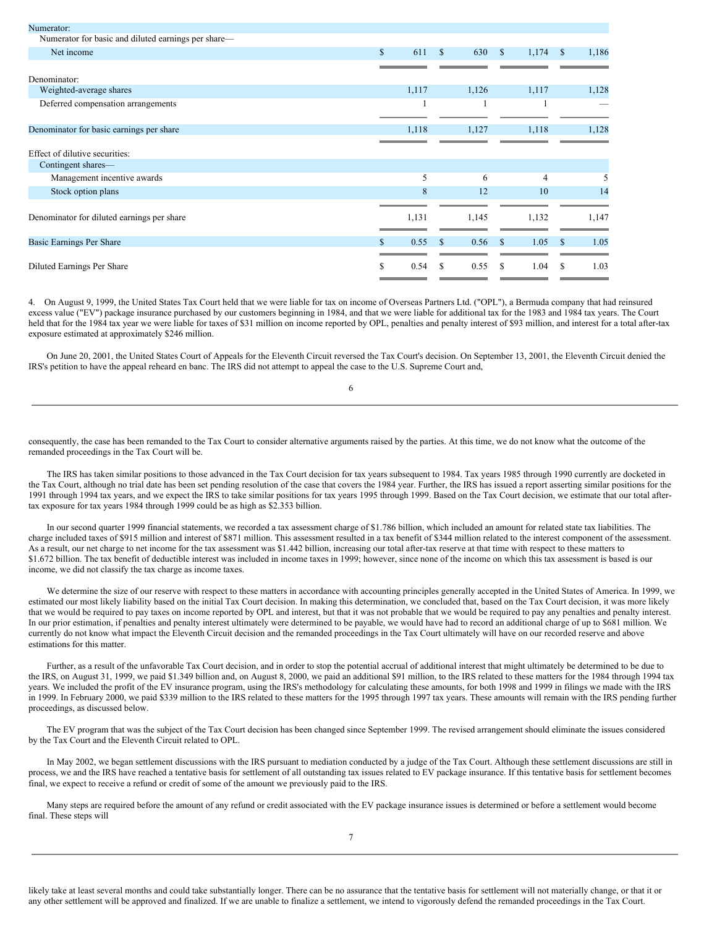| Numerator:                                          |              |                      |       |                       |             |
|-----------------------------------------------------|--------------|----------------------|-------|-----------------------|-------------|
| Numerator for basic and diluted earnings per share— |              |                      |       |                       |             |
| Net income                                          | $\mathbb{S}$ | 611<br><sup>\$</sup> | 630   | 1,174<br><sup>S</sup> | \$<br>1,186 |
|                                                     |              |                      |       |                       |             |
| Denominator:                                        |              |                      |       |                       |             |
| Weighted-average shares                             | 1,117        |                      | 1,126 | 1,117                 | 1,128       |
| Deferred compensation arrangements                  |              |                      |       |                       |             |
|                                                     |              |                      |       |                       |             |
| Denominator for basic earnings per share            | 1,118        |                      | 1,127 | 1,118                 | 1,128       |
|                                                     |              |                      |       |                       |             |
| Effect of dilutive securities:                      |              |                      |       |                       |             |
| Contingent shares—                                  |              |                      |       |                       |             |
| Management incentive awards                         |              | 5                    | 6     | 4                     |             |
| Stock option plans                                  |              | 8                    | 12    | 10                    | 14          |
|                                                     |              |                      |       |                       |             |
| Denominator for diluted earnings per share          | 1,131        |                      | 1,145 | 1,132                 | 1,147       |
|                                                     |              |                      |       |                       |             |
| Basic Earnings Per Share                            | 0.55<br>\$.  | <sup>\$</sup>        | 0.56  | 1.05<br><sup>\$</sup> | 1.05<br>S   |
|                                                     |              |                      |       |                       |             |
| Diluted Earnings Per Share                          | \$.<br>0.54  | S                    | 0.55  | \$.<br>1.04           | S.<br>1.03  |
|                                                     |              |                      |       |                       |             |

4. On August 9, 1999, the United States Tax Court held that we were liable for tax on income of Overseas Partners Ltd. ("OPL"), a Bermuda company that had reinsured excess value ("EV") package insurance purchased by our customers beginning in 1984, and that we were liable for additional tax for the 1983 and 1984 tax years. The Court held that for the 1984 tax year we were liable for taxes of \$31 million on income reported by OPL, penalties and penalty interest of \$93 million, and interest for a total after-tax exposure estimated at approximately \$246 million.

On June 20, 2001, the United States Court of Appeals for the Eleventh Circuit reversed the Tax Court's decision. On September 13, 2001, the Eleventh Circuit denied the IRS's petition to have the appeal reheard en banc. The IRS did not attempt to appeal the case to the U.S. Supreme Court and,

6

consequently, the case has been remanded to the Tax Court to consider alternative arguments raised by the parties. At this time, we do not know what the outcome of the remanded proceedings in the Tax Court will be.

The IRS has taken similar positions to those advanced in the Tax Court decision for tax years subsequent to 1984. Tax years 1985 through 1990 currently are docketed in the Tax Court, although no trial date has been set pending resolution of the case that covers the 1984 year. Further, the IRS has issued a report asserting similar positions for the 1991 through 1994 tax years, and we expect the IRS to take similar positions for tax years 1995 through 1999. Based on the Tax Court decision, we estimate that our total aftertax exposure for tax years 1984 through 1999 could be as high as \$2.353 billion.

In our second quarter 1999 financial statements, we recorded a tax assessment charge of \$1.786 billion, which included an amount for related state tax liabilities. The charge included taxes of \$915 million and interest of \$871 million. This assessment resulted in a tax benefit of \$344 million related to the interest component of the assessment. As a result, our net charge to net income for the tax assessment was \$1.442 billion, increasing our total after-tax reserve at that time with respect to these matters to \$1.672 billion. The tax benefit of deductible interest was included in income taxes in 1999; however, since none of the income on which this tax assessment is based is our income, we did not classify the tax charge as income taxes.

We determine the size of our reserve with respect to these matters in accordance with accounting principles generally accepted in the United States of America. In 1999, we estimated our most likely liability based on the initial Tax Court decision. In making this determination, we concluded that, based on the Tax Court decision, it was more likely that we would be required to pay taxes on income reported by OPL and interest, but that it was not probable that we would be required to pay any penalties and penalty interest. In our prior estimation, if penalties and penalty interest ultimately were determined to be payable, we would have had to record an additional charge of up to \$681 million. We currently do not know what impact the Eleventh Circuit decision and the remanded proceedings in the Tax Court ultimately will have on our recorded reserve and above estimations for this matter.

Further, as a result of the unfavorable Tax Court decision, and in order to stop the potential accrual of additional interest that might ultimately be determined to be due to the IRS, on August 31, 1999, we paid \$1.349 billion and, on August 8, 2000, we paid an additional \$91 million, to the IRS related to these matters for the 1984 through 1994 tax years. We included the profit of the EV insurance program, using the IRS's methodology for calculating these amounts, for both 1998 and 1999 in filings we made with the IRS in 1999. In February 2000, we paid \$339 million to the IRS related to these matters for the 1995 through 1997 tax years. These amounts will remain with the IRS pending further proceedings, as discussed below.

The EV program that was the subject of the Tax Court decision has been changed since September 1999. The revised arrangement should eliminate the issues considered by the Tax Court and the Eleventh Circuit related to OPL.

In May 2002, we began settlement discussions with the IRS pursuant to mediation conducted by a judge of the Tax Court. Although these settlement discussions are still in process, we and the IRS have reached a tentative basis for settlement of all outstanding tax issues related to EV package insurance. If this tentative basis for settlement becomes final, we expect to receive a refund or credit of some of the amount we previously paid to the IRS.

Many steps are required before the amount of any refund or credit associated with the EV package insurance issues is determined or before a settlement would become final. These steps will

likely take at least several months and could take substantially longer. There can be no assurance that the tentative basis for settlement will not materially change, or that it or any other settlement will be approved and finalized. If we are unable to finalize a settlement, we intend to vigorously defend the remanded proceedings in the Tax Court.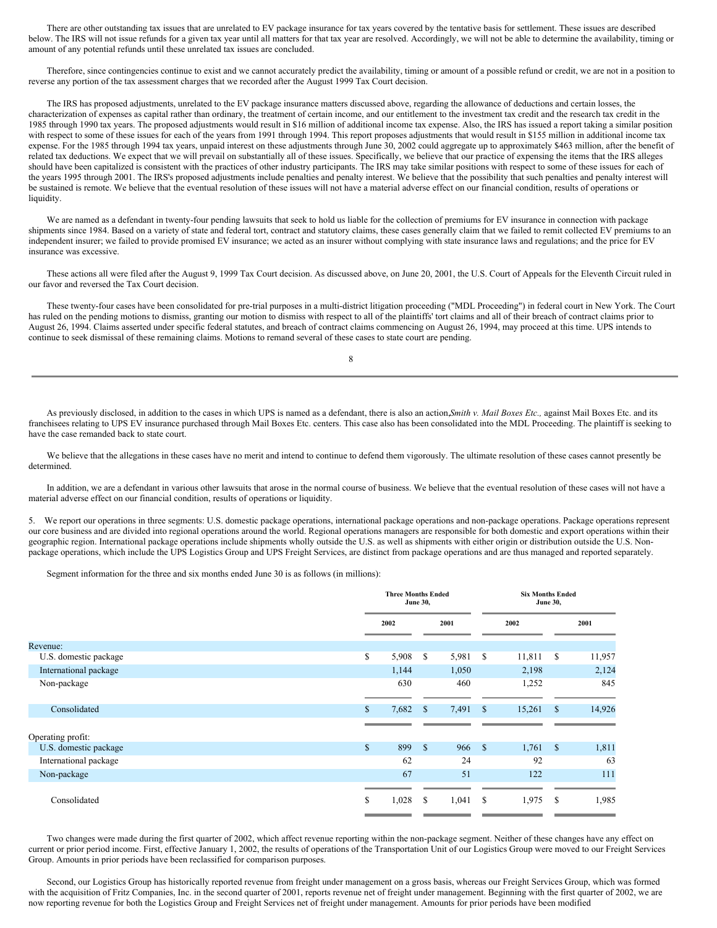There are other outstanding tax issues that are unrelated to EV package insurance for tax years covered by the tentative basis for settlement. These issues are described below. The IRS will not issue refunds for a given tax year until all matters for that tax year are resolved. Accordingly, we will not be able to determine the availability, timing or amount of any potential refunds until these unrelated tax issues are concluded.

Therefore, since contingencies continue to exist and we cannot accurately predict the availability, timing or amount of a possible refund or credit, we are not in a position to reverse any portion of the tax assessment charges that we recorded after the August 1999 Tax Court decision.

The IRS has proposed adjustments, unrelated to the EV package insurance matters discussed above, regarding the allowance of deductions and certain losses, the characterization of expenses as capital rather than ordinary, the treatment of certain income, and our entitlement to the investment tax credit and the research tax credit in the 1985 through 1990 tax years. The proposed adjustments would result in \$16 million of additional income tax expense. Also, the IRS has issued a report taking a similar position with respect to some of these issues for each of the years from 1991 through 1994. This report proposes adjustments that would result in \$155 million in additional income tax expense. For the 1985 through 1994 tax years, unpaid interest on these adjustments through June 30, 2002 could aggregate up to approximately \$463 million, after the benefit of related tax deductions. We expect that we will prevail on substantially all of these issues. Specifically, we believe that our practice of expensing the items that the IRS alleges should have been capitalized is consistent with the practices of other industry participants. The IRS may take similar positions with respect to some of these issues for each of the years 1995 through 2001. The IRS's proposed adjustments include penalties and penalty interest. We believe that the possibility that such penalties and penalty interest will be sustained is remote. We believe that the eventual resolution of these issues will not have a material adverse effect on our financial condition, results of operations or liquidity.

We are named as a defendant in twenty-four pending lawsuits that seek to hold us liable for the collection of premiums for EV insurance in connection with package shipments since 1984. Based on a variety of state and federal tort, contract and statutory claims, these cases generally claim that we failed to remit collected EV premiums to an independent insurer; we failed to provide promised EV insurance; we acted as an insurer without complying with state insurance laws and regulations; and the price for EV insurance was excessive.

These actions all were filed after the August 9, 1999 Tax Court decision. As discussed above, on June 20, 2001, the U.S. Court of Appeals for the Eleventh Circuit ruled in our favor and reversed the Tax Court decision.

These twenty-four cases have been consolidated for pre-trial purposes in a multi-district litigation proceeding ("MDL Proceeding") in federal court in New York. The Court has ruled on the pending motions to dismiss, granting our motion to dismiss with respect to all of the plaintiffs' tort claims and all of their breach of contract claims prior to August 26, 1994. Claims asserted under specific federal statutes, and breach of contract claims commencing on August 26, 1994, may proceed at this time. UPS intends to continue to seek dismissal of these remaining claims. Motions to remand several of these cases to state court are pending.

As previously disclosed, in addition to the cases in which UPS is named as a defendant, there is also an action,*Smith v. Mail Boxes Etc.,* against Mail Boxes Etc. and its franchisees relating to UPS EV insurance purchased through Mail Boxes Etc. centers. This case also has been consolidated into the MDL Proceeding. The plaintiff is seeking to have the case remanded back to state court.

We believe that the allegations in these cases have no merit and intend to continue to defend them vigorously. The ultimate resolution of these cases cannot presently be determined.

In addition, we are a defendant in various other lawsuits that arose in the normal course of business. We believe that the eventual resolution of these cases will not have a material adverse effect on our financial condition, results of operations or liquidity.

5. We report our operations in three segments: U.S. domestic package operations, international package operations and non-package operations. Package operations represent our core business and are divided into regional operations around the world. Regional operations managers are responsible for both domestic and export operations within their geographic region. International package operations include shipments wholly outside the U.S. as well as shipments with either origin or distribution outside the U.S. Nonpackage operations, which include the UPS Logistics Group and UPS Freight Services, are distinct from package operations and are thus managed and reported separately.

Segment information for the three and six months ended June 30 is as follows (in millions):

|                       |    | <b>Three Months Ended</b><br><b>June 30,</b> |              |       | <b>Six Months Ended</b><br><b>June 30,</b> |        |              |        |  |  |
|-----------------------|----|----------------------------------------------|--------------|-------|--------------------------------------------|--------|--------------|--------|--|--|
|                       |    | 2002                                         |              | 2001  |                                            | 2002   |              | 2001   |  |  |
| Revenue:              |    |                                              |              |       |                                            |        |              |        |  |  |
| U.S. domestic package | \$ | 5,908                                        | S            | 5,981 | -S                                         | 11,811 | \$           | 11,957 |  |  |
| International package |    | 1,144                                        |              | 1,050 |                                            | 2,198  |              | 2,124  |  |  |
| Non-package           |    | 630                                          |              | 460   |                                            | 1,252  |              | 845    |  |  |
|                       |    |                                              |              |       |                                            |        |              |        |  |  |
| Consolidated          | S. | 7,682                                        | $\mathbb{S}$ | 7,491 | <sup>\$</sup>                              | 15,261 | \$           | 14,926 |  |  |
|                       |    |                                              |              |       |                                            |        |              |        |  |  |
| Operating profit:     |    |                                              |              |       |                                            |        |              |        |  |  |
| U.S. domestic package | \$ | 899                                          | <sup>S</sup> | 966   | <b>S</b>                                   | 1,761  | $\mathbb{S}$ | 1,811  |  |  |
| International package |    | 62                                           |              | 24    |                                            | 92     |              | 63     |  |  |
| Non-package           |    | 67                                           |              | 51    |                                            | 122    |              | 111    |  |  |
|                       |    |                                              |              |       |                                            |        |              |        |  |  |
| Consolidated          | S  | 1,028                                        | S            | 1,041 | $\mathbf{s}$                               | 1,975  | S            | 1,985  |  |  |
|                       |    |                                              |              |       |                                            |        |              |        |  |  |

Two changes were made during the first quarter of 2002, which affect revenue reporting within the non-package segment. Neither of these changes have any effect on current or prior period income. First, effective January 1, 2002, the results of operations of the Transportation Unit of our Logistics Group were moved to our Freight Services Group. Amounts in prior periods have been reclassified for comparison purposes.

Second, our Logistics Group has historically reported revenue from freight under management on a gross basis, whereas our Freight Services Group, which was formed with the acquisition of Fritz Companies, Inc. in the second quarter of 2001, reports revenue net of freight under management. Beginning with the first quarter of 2002, we are now reporting revenue for both the Logistics Group and Freight Services net of freight under management. Amounts for prior periods have been modified

8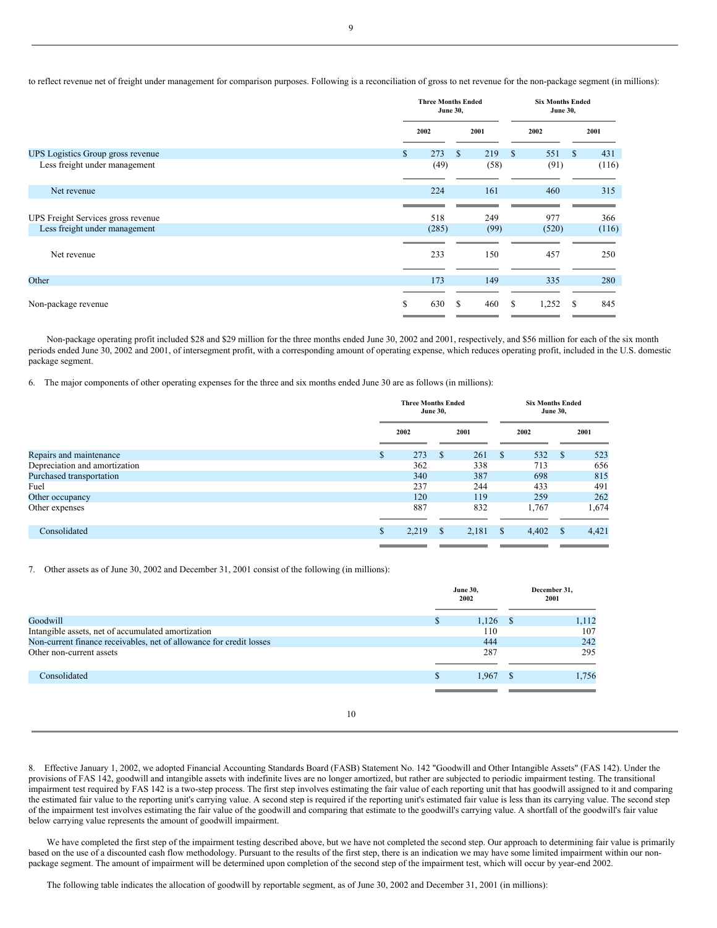to reflect revenue net of freight under management for comparison purposes. Following is a reconciliation of gross to net revenue for the non-package segment (in millions):

|                                    | <b>Three Months Ended</b><br><b>June 30,</b> |       |   |      | <b>Six Months Ended</b><br><b>June 30,</b> |       |          |       |
|------------------------------------|----------------------------------------------|-------|---|------|--------------------------------------------|-------|----------|-------|
|                                    | 2001<br>2002                                 |       |   | 2002 |                                            |       | 2001     |       |
| UPS Logistics Group gross revenue  | \$                                           | 273   | S | 219  | S                                          | 551   | <b>S</b> | 431   |
| Less freight under management      |                                              | (49)  |   | (58) |                                            | (91)  |          | (116) |
| Net revenue                        |                                              | 224   |   | 161  |                                            | 460   |          | 315   |
| UPS Freight Services gross revenue |                                              | 518   |   | 249  |                                            | 977   |          | 366   |
| Less freight under management      |                                              | (285) |   | (99) |                                            | (520) |          | (116) |
| Net revenue                        |                                              | 233   |   | 150  |                                            | 457   |          | 250   |
| Other                              |                                              | 173   |   | 149  |                                            | 335   |          | 280   |
| Non-package revenue                | \$                                           | 630   | S | 460  | S                                          | 1,252 | -S       | 845   |

Non-package operating profit included \$28 and \$29 million for the three months ended June 30, 2002 and 2001, respectively, and \$56 million for each of the six month periods ended June 30, 2002 and 2001, of intersegment profit, with a corresponding amount of operating expense, which reduces operating profit, included in the U.S. domestic package segment.

6. The major components of other operating expenses for the three and six months ended June 30 are as follows (in millions):

|                               | <b>Three Months Ended</b><br><b>June 30,</b> |               | <b>Six Months Ended</b><br><b>June 30,</b> |               |       |    |       |
|-------------------------------|----------------------------------------------|---------------|--------------------------------------------|---------------|-------|----|-------|
|                               | 2002                                         |               | 2001                                       |               | 2002  |    | 2001  |
| Repairs and maintenance       | \$<br>273                                    | <sup>\$</sup> | 261                                        | <sup>\$</sup> | 532   | S  | 523   |
| Depreciation and amortization | 362                                          |               | 338                                        |               | 713   |    | 656   |
| Purchased transportation      | 340                                          |               | 387                                        |               | 698   |    | 815   |
| Fuel                          | 237                                          |               | 244                                        |               | 433   |    | 491   |
| Other occupancy               | 120                                          |               | 119                                        |               | 259   |    | 262   |
| Other expenses                | 887                                          |               | 832                                        |               | 1,767 |    | 1,674 |
|                               |                                              |               |                                            |               |       |    |       |
| Consolidated                  | \$<br>2,219                                  | -S            | 2,181                                      | - \$          | 4,402 | -S | 4,421 |
|                               |                                              |               |                                            |               |       |    |       |

7. Other assets as of June 30, 2002 and December 31, 2001 consist of the following (in millions):

|                                                                     |   | <b>June 30,</b><br>2002 | December 31,<br>2001 |       |  |
|---------------------------------------------------------------------|---|-------------------------|----------------------|-------|--|
| Goodwill                                                            | S | $1,126$ \$              |                      | 1,112 |  |
| Intangible assets, net of accumulated amortization                  |   | 110                     |                      | 107   |  |
| Non-current finance receivables, net of allowance for credit losses |   | 444                     |                      | 242   |  |
| Other non-current assets                                            |   | 287                     |                      | 295   |  |
| Consolidated                                                        | S | 1,967                   |                      | 1,756 |  |
|                                                                     |   |                         |                      |       |  |

10

8. Effective January 1, 2002, we adopted Financial Accounting Standards Board (FASB) Statement No. 142 "Goodwill and Other Intangible Assets" (FAS 142). Under the provisions of FAS 142, goodwill and intangible assets with indefinite lives are no longer amortized, but rather are subjected to periodic impairment testing. The transitional impairment test required by FAS 142 is a two-step process. The first step involves estimating the fair value of each reporting unit that has goodwill assigned to it and comparing the estimated fair value to the reporting unit's carrying value. A second step is required if the reporting unit's estimated fair value is less than its carrying value. The second step of the impairment test involves estimating the fair value of the goodwill and comparing that estimate to the goodwill's carrying value. A shortfall of the goodwill's fair value below carrying value represents the amount of goodwill impairment.

We have completed the first step of the impairment testing described above, but we have not completed the second step. Our approach to determining fair value is primarily based on the use of a discounted cash flow methodology. Pursuant to the results of the first step, there is an indication we may have some limited impairment within our nonpackage segment. The amount of impairment will be determined upon completion of the second step of the impairment test, which will occur by year-end 2002.

The following table indicates the allocation of goodwill by reportable segment, as of June 30, 2002 and December 31, 2001 (in millions):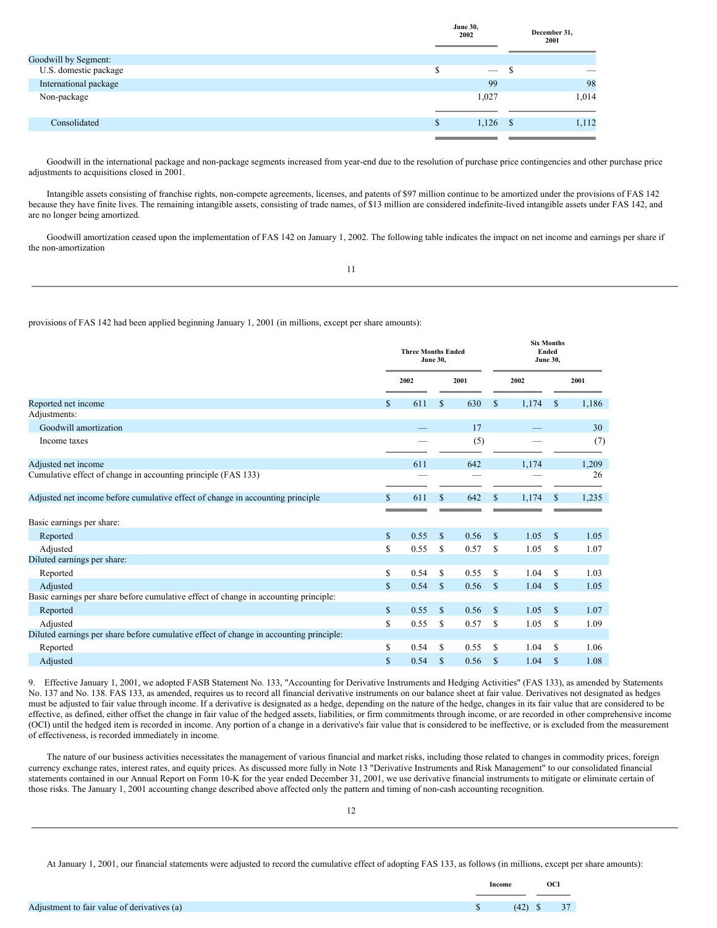|                       |   | .<br>2002  |   | December 31,<br>2001 |
|-----------------------|---|------------|---|----------------------|
| Goodwill by Segment:  |   |            |   |                      |
| U.S. domestic package | S |            | D | $\sim$               |
| International package |   | 99         |   | 98                   |
| Non-package           |   | 1,027      |   | 1,014                |
| Consolidated          | S | $1,126$ \$ |   | 1,112                |
|                       |   |            |   |                      |

Goodwill in the international package and non-package segments increased from year-end due to the resolution of purchase price contingencies and other purchase price adjustments to acquisitions closed in 2001.

**June 30,**

Intangible assets consisting of franchise rights, non-compete agreements, licenses, and patents of \$97 million continue to be amortized under the provisions of FAS 142 because they have finite lives. The remaining intangible assets, consisting of trade names, of \$13 million are considered indefinite-lived intangible assets under FAS 142, and are no longer being amortized.

Goodwill amortization ceased upon the implementation of FAS 142 on January 1, 2002. The following table indicates the impact on net income and earnings per share if the non-amortization

provisions of FAS 142 had been applied beginning January 1, 2001 (in millions, except per share amounts):

|                                                                                        | <b>Three Months Ended</b><br><b>June 30,</b> |      |               |      |               |       | <b>Six Months</b><br>Ended<br><b>June 30,</b> |       |  |
|----------------------------------------------------------------------------------------|----------------------------------------------|------|---------------|------|---------------|-------|-----------------------------------------------|-------|--|
|                                                                                        |                                              | 2002 |               | 2001 |               | 2002  |                                               | 2001  |  |
| Reported net income                                                                    | S.                                           | 611  | <b>S</b>      | 630  | S             | 1,174 | <sup>\$</sup>                                 | 1,186 |  |
| Adjustments:                                                                           |                                              |      |               |      |               |       |                                               |       |  |
| Goodwill amortization                                                                  |                                              |      |               | 17   |               |       |                                               | 30    |  |
| Income taxes                                                                           |                                              |      |               | (5)  |               |       |                                               | (7)   |  |
| Adjusted net income                                                                    |                                              | 611  |               | 642  |               | 1,174 |                                               | 1,209 |  |
| Cumulative effect of change in accounting principle (FAS 133)                          |                                              |      |               |      |               |       |                                               | 26    |  |
| Adjusted net income before cumulative effect of change in accounting principle         | \$                                           | 611  | $\mathbf{s}$  | 642  | \$            | 1,174 | \$                                            | 1,235 |  |
|                                                                                        |                                              |      |               |      |               |       |                                               |       |  |
| Basic earnings per share:                                                              |                                              |      |               |      |               |       |                                               |       |  |
| Reported                                                                               | $\mathbb{S}$                                 | 0.55 | $\mathcal{S}$ | 0.56 | $\mathbf{s}$  | 1.05  | $\mathbb{S}$                                  | 1.05  |  |
| Adjusted                                                                               | \$                                           | 0.55 | <sup>\$</sup> | 0.57 | \$            | 1.05  | \$                                            | 1.07  |  |
| Diluted earnings per share:                                                            |                                              |      |               |      |               |       |                                               |       |  |
| Reported                                                                               | \$                                           | 0.54 | \$.           | 0.55 | S             | 1.04  | \$                                            | 1.03  |  |
| Adjusted                                                                               | $\mathbb{S}$                                 | 0.54 | <sup>\$</sup> | 0.56 | <sup>\$</sup> | 1.04  | $\mathbb{S}$                                  | 1.05  |  |
| Basic earnings per share before cumulative effect of change in accounting principle:   |                                              |      |               |      |               |       |                                               |       |  |
| Reported                                                                               | $\mathbb{S}$                                 | 0.55 | $\mathbf S$   | 0.56 | S             | 1.05  | $\mathbb{S}$                                  | 1.07  |  |
| Adjusted                                                                               | S                                            | 0.55 | S             | 0.57 | S             | 1.05  | \$                                            | 1.09  |  |
| Diluted earnings per share before cumulative effect of change in accounting principle: |                                              |      |               |      |               |       |                                               |       |  |
| Reported                                                                               | S                                            | 0.54 | S             | 0.55 | S             | 1.04  | S.                                            | 1.06  |  |
| Adjusted                                                                               | $\mathbb{S}$                                 | 0.54 | \$            | 0.56 | \$            | 1.04  | \$                                            | 1.08  |  |

9. Effective January 1, 2001, we adopted FASB Statement No. 133, "Accounting for Derivative Instruments and Hedging Activities" (FAS 133), as amended by Statements No. 137 and No. 138. FAS 133, as amended, requires us to record all financial derivative instruments on our balance sheet at fair value. Derivatives not designated as hedges must be adjusted to fair value through income. If a derivative is designated as a hedge, depending on the nature of the hedge, changes in its fair value that are considered to be effective, as defined, either offset the change in fair value of the hedged assets, liabilities, or firm commitments through income, or are recorded in other comprehensive income (OCI) until the hedged item is recorded in income. Any portion of a change in a derivative's fair value that is considered to be ineffective, or is excluded from the measurement of effectiveness, is recorded immediately in income.

The nature of our business activities necessitates the management of various financial and market risks, including those related to changes in commodity prices, foreign currency exchange rates, interest rates, and equity prices. As discussed more fully in Note 13 "Derivative Instruments and Risk Management" to our consolidated financial statements contained in our Annual Report on Form 10-K for the year ended December 31, 2001, we use derivative financial instruments to mitigate or eliminate certain of those risks. The January 1, 2001 accounting change described above affected only the pattern and timing of non-cash accounting recognition.

12

At January 1, 2001, our financial statements were adjusted to record the cumulative effect of adopting FAS 133, as follows (in millions, except per share amounts):

|                                             | Income        |              | <b>OCI</b> |  |
|---------------------------------------------|---------------|--------------|------------|--|
|                                             |               |              |            |  |
| Adjustment to fair value of derivatives (a) | $\mathcal{S}$ | $(42)$ \$ 37 |            |  |
|                                             |               |              |            |  |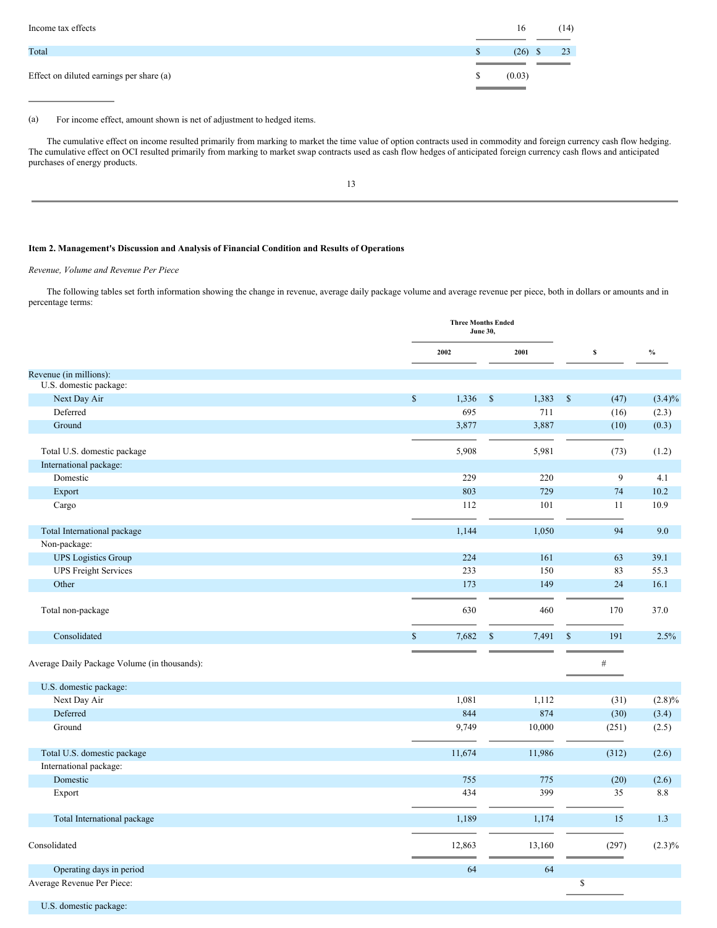| Income tax effects                       |              | 16        | (14) |
|------------------------------------------|--------------|-----------|------|
| Total                                    | <sup>S</sup> | $(26)$ \$ | 23   |
| Effect on diluted earnings per share (a) | -S           | (0.03)    |      |
|                                          |              |           |      |

#### (a) For income effect, amount shown is net of adjustment to hedged items.

The cumulative effect on income resulted primarily from marking to market the time value of option contracts used in commodity and foreign currency cash flow hedging. The cumulative effect on OCI resulted primarily from marking to market swap contracts used as cash flow hedges of anticipated foreign currency cash flows and anticipated purchases of energy products.

13

### <span id="page-8-0"></span>**Item 2. Management's Discussion and Analysis of Financial Condition and Results of Operations**

### *Revenue, Volume and Revenue Per Piece*

The following tables set forth information showing the change in revenue, average daily package volume and average revenue per piece, both in dollars or amounts and in percentage terms:

|                                              |                       | <b>Three Months Ended</b><br><b>June 30,</b> |                      |       |                 |
|----------------------------------------------|-----------------------|----------------------------------------------|----------------------|-------|-----------------|
|                                              | 2002                  | 2001                                         | $\mathbb S$          |       | $\mathcal{V}_0$ |
| Revenue (in millions):                       |                       |                                              |                      |       |                 |
| U.S. domestic package:                       |                       |                                              |                      |       |                 |
| Next Day Air                                 | $\mathbb{S}$<br>1,336 | $\$$<br>1,383                                | $\mathcal{S}$        | (47)  | $(3.4)\%$       |
| Deferred                                     | 695                   | 711                                          |                      | (16)  | (2.3)           |
| Ground                                       | 3,877                 | 3,887                                        |                      | (10)  | (0.3)           |
| Total U.S. domestic package                  | 5,908                 | 5,981                                        |                      | (73)  | (1.2)           |
| International package:                       |                       |                                              |                      |       |                 |
| Domestic                                     | 229                   | 220                                          |                      | 9     | 4.1             |
| Export                                       | 803                   | 729                                          |                      | 74    | 10.2            |
| Cargo                                        | 112                   | 101                                          |                      | 11    | 10.9            |
|                                              |                       |                                              |                      |       |                 |
| Total International package                  | 1,144                 | 1,050                                        |                      | 94    | 9.0             |
| Non-package:                                 |                       |                                              |                      |       |                 |
| <b>UPS</b> Logistics Group                   | 224                   | 161                                          |                      | 63    | 39.1            |
| <b>UPS</b> Freight Services                  | 233                   | 150                                          |                      | 83    | 55.3            |
| Other                                        | 173                   | 149                                          |                      | 24    | 16.1            |
|                                              |                       |                                              |                      |       |                 |
| Total non-package                            | 630                   | 460                                          |                      | 170   | 37.0            |
| Consolidated                                 | 7,682<br>\$           | $\$$<br>7,491                                | $\mathbb{S}$         | 191   | 2.5%            |
| Average Daily Package Volume (in thousands): |                       |                                              |                      | $\#$  |                 |
| U.S. domestic package:                       |                       |                                              |                      |       |                 |
| Next Day Air                                 | 1,081                 | 1,112                                        |                      | (31)  | (2.8)%          |
| Deferred                                     | 844                   | 874                                          |                      | (30)  | (3.4)           |
| Ground                                       | 9,749                 | 10,000                                       |                      | (251) | (2.5)           |
| Total U.S. domestic package                  | 11,674                | 11,986                                       |                      | (312) | (2.6)           |
| International package:                       |                       |                                              |                      |       |                 |
| Domestic                                     | 755                   | 775                                          |                      | (20)  | (2.6)           |
| Export                                       | 434                   | 399                                          |                      | 35    | 8.8             |
| Total International package                  | 1,189                 | 1,174                                        |                      | 15    | 1.3             |
| Consolidated                                 | 12,863                | 13,160                                       |                      | (297) | $(2.3)\%$       |
| Operating days in period                     | 64                    | 64                                           |                      |       |                 |
| Average Revenue Per Piece:                   |                       |                                              | $\sqrt{\frac{2}{3}}$ |       |                 |
| U.S. domestic package:                       |                       |                                              |                      |       |                 |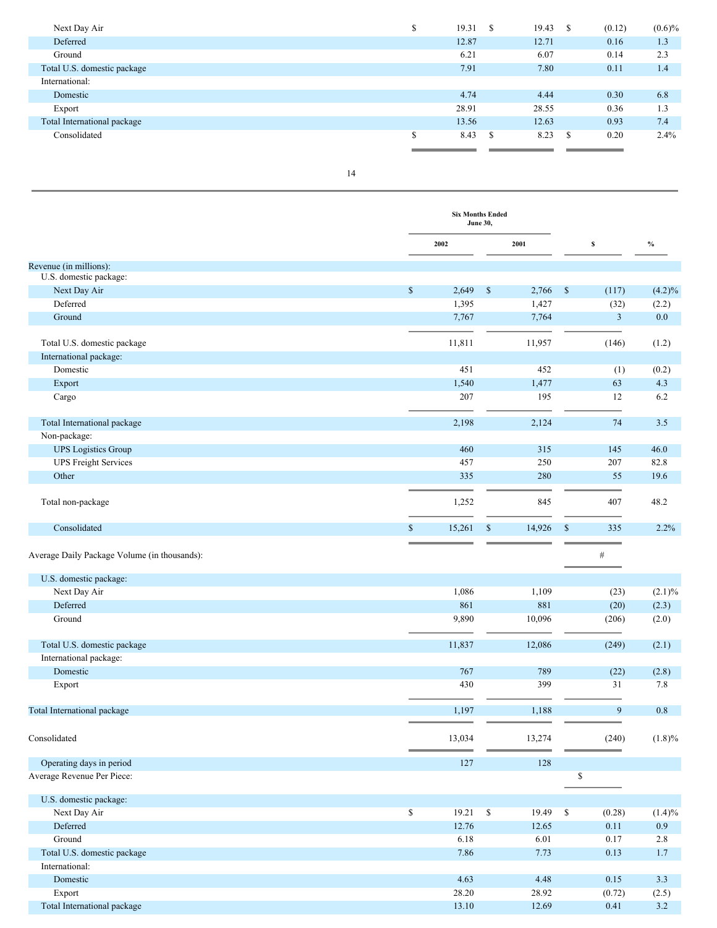| Next Day Air                | Φ<br>Φ | 19.31 | -S | 19.43 | - \$ | (0.12) | $(0.6)\%$ |
|-----------------------------|--------|-------|----|-------|------|--------|-----------|
| Deferred                    |        | 12.87 |    | 12.71 |      | 0.16   | 1.3       |
| Ground                      |        | 6.21  |    | 6.07  |      | 0.14   | 2.3       |
| Total U.S. domestic package |        | 7.91  |    | 7.80  |      | 0.11   | 1.4       |
| International:              |        |       |    |       |      |        |           |
| Domestic                    |        | 4.74  |    | 4.44  |      | 0.30   | 6.8       |
| Export                      |        | 28.91 |    | 28.55 |      | 0.36   | 1.3       |
| Total International package |        | 13.56 |    | 12.63 |      | 0.93   | 7.4       |
| Consolidated                | \$     | 8.43  | S  | 8.23  | - S  | 0.20   | 2.4%      |
|                             |        |       |    |       |      |        |           |

|                                                                        |                        | <b>Six Months Ended</b><br>June 30, |               |                |           |
|------------------------------------------------------------------------|------------------------|-------------------------------------|---------------|----------------|-----------|
|                                                                        | 2002                   | 2001                                | \$            |                | $\%$      |
| Revenue (in millions):                                                 |                        |                                     |               |                |           |
| U.S. domestic package:                                                 |                        |                                     |               |                |           |
| Next Day Air                                                           | $\mathbb{S}$<br>2,649  | $\mathbb S$<br>2,766                | $\$$          | (117)          | $(4.2)\%$ |
| Deferred                                                               | 1,395                  | 1,427                               |               | (32)           | (2.2)     |
| Ground                                                                 | 7,767                  | 7,764                               |               | $\mathfrak{Z}$ | $0.0\,$   |
| Total U.S. domestic package                                            | 11,811                 | 11,957                              |               | (146)          | (1.2)     |
| International package:                                                 |                        |                                     |               |                |           |
| Domestic                                                               | 451                    | 452                                 |               | (1)            | (0.2)     |
| Export                                                                 | 1,540                  | 1,477                               |               | 63             | 4.3       |
| Cargo                                                                  | 207                    | 195                                 |               | 12             | 6.2       |
| Total International package                                            | 2,198                  | 2,124                               |               | 74             | 3.5       |
| Non-package:                                                           |                        |                                     |               |                |           |
| <b>UPS</b> Logistics Group                                             | 460                    | 315                                 |               | 145            | 46.0      |
| <b>UPS Freight Services</b>                                            | 457                    | 250                                 |               | 207            | 82.8      |
| Other                                                                  | 335                    | 280                                 |               | 55             | 19.6      |
| Total non-package                                                      | 1,252                  | 845                                 |               | 407            | 48.2      |
| Consolidated                                                           | 15,261<br>$\mathbb{S}$ | $\mathbb{S}$<br>14,926              | $\mathcal{S}$ | 335            | 2.2%      |
| Average Daily Package Volume (in thousands):<br>U.S. domestic package: |                        |                                     |               | $\#$           |           |
| Next Day Air                                                           | 1,086                  | 1,109                               |               | (23)           | $(2.1)\%$ |
| Deferred                                                               | 861                    | 881                                 |               | (20)           | (2.3)     |
| Ground                                                                 | 9,890                  | 10,096                              |               | (206)          | (2.0)     |
| Total U.S. domestic package                                            | 11,837                 | 12,086                              |               | (249)          | (2.1)     |
| International package:                                                 |                        |                                     |               |                |           |
| Domestic                                                               | 767                    | 789                                 |               | (22)           | (2.8)     |
| Export                                                                 | 430                    | 399                                 |               | 31             | 7.8       |
| Total International package                                            | 1,197                  | 1,188                               |               | 9              | 0.8       |
| Consolidated                                                           | 13,034                 | 13,274                              |               | (240)          | $(1.8)\%$ |
| Operating days in period                                               | 127                    | 128                                 |               |                |           |
| Average Revenue Per Piece:                                             |                        |                                     | \$            |                |           |
| U.S. domestic package:                                                 |                        |                                     |               |                |           |
| Next Day Air                                                           | \$<br>19.21            | \$<br>19.49                         | \$            | (0.28)         | (1.4)%    |
| Deferred                                                               | 12.76                  | 12.65                               |               | 0.11           | 0.9       |
| Ground                                                                 | 6.18                   | 6.01                                |               | 0.17           | 2.8       |
| Total U.S. domestic package                                            | 7.86                   | 7.73                                |               | 0.13           | $1.7\,$   |
| International:                                                         |                        |                                     |               |                |           |
| Domestic                                                               | 4.63                   | 4.48                                |               | 0.15           | 3.3       |
| Export                                                                 | 28.20                  | 28.92                               |               | (0.72)         | (2.5)     |
| Total International package                                            | 13.10                  | 12.69                               |               | 0.41           | $3.2$     |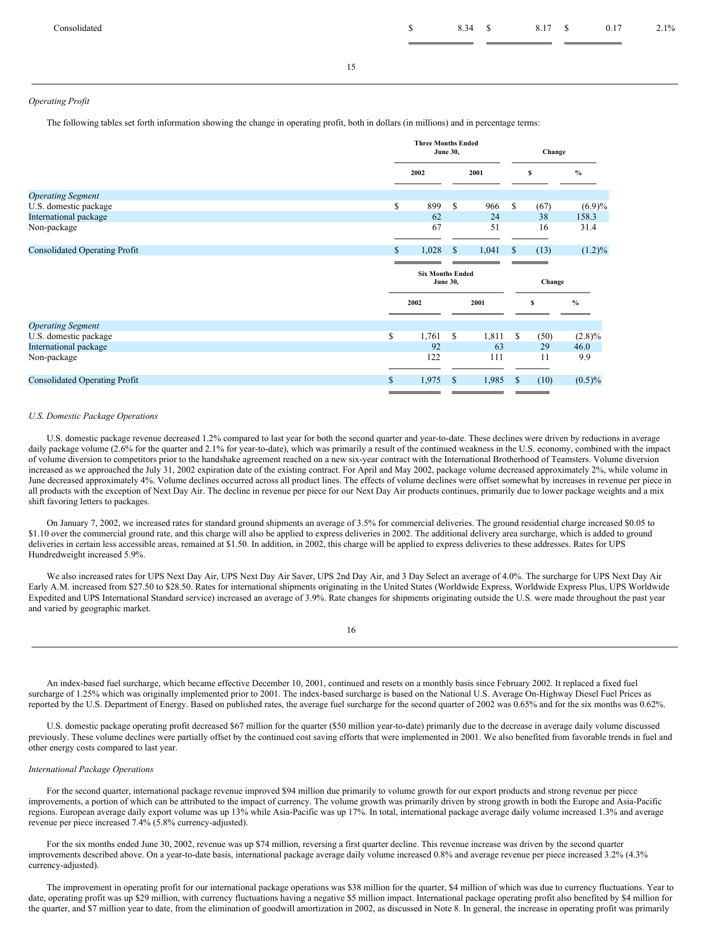#### *Operating Profit*

The following tables set forth information showing the change in operating profit, both in dollars (in millions) and in percentage terms:

|                                      |    | <b>Three Months Ended</b><br><b>June 30,</b> |    |       | Change |        |                   |
|--------------------------------------|----|----------------------------------------------|----|-------|--------|--------|-------------------|
|                                      |    | 2002                                         |    | 2001  |        | s      | $\frac{0}{0}$     |
| <b>Operating Segment</b>             |    |                                              |    |       |        |        |                   |
| U.S. domestic package                | \$ | 899                                          | S  | 966   | \$     | (67)   | $(6.9)\%$         |
| International package                |    | 62                                           |    | 24    |        | 38     | 158.3             |
| Non-package                          |    | 67                                           |    | 51    |        | 16     | 31.4              |
|                                      |    |                                              |    |       |        |        |                   |
| <b>Consolidated Operating Profit</b> | S  | 1,028                                        | S  | 1,041 | \$     | (13)   | $(1.2)\%$         |
|                                      |    |                                              |    |       |        |        |                   |
|                                      |    | <b>Six Months Ended</b><br><b>June 30,</b>   |    |       |        | Change |                   |
|                                      |    |                                              |    |       |        |        |                   |
|                                      |    | 2002                                         |    | 2001  |        | \$     | $\frac{6}{6}$     |
| <b>Operating Segment</b>             |    |                                              |    |       |        |        |                   |
| U.S. domestic package                | \$ | 1,761                                        | \$ | 1,811 | \$     | (50)   |                   |
| International package                |    | 92                                           |    | 63    |        | 29     | $(2.8)\%$<br>46.0 |
| Non-package                          |    | 122                                          |    | 111   |        | 11     | 9.9               |
|                                      |    |                                              |    |       |        |        |                   |

#### *U.S. Domestic Package Operations*

U.S. domestic package revenue decreased 1.2% compared to last year for both the second quarter and year-to-date. These declines were driven by reductions in average daily package volume (2.6% for the quarter and 2.1% for year-to-date), which was primarily a result of the continued weakness in the U.S. economy, combined with the impact of volume diversion to competitors prior to the handshake agreement reached on a new six-year contract with the International Brotherhood of Teamsters. Volume diversion increased as we approached the July 31, 2002 expiration date of the existing contract. For April and May 2002, package volume decreased approximately 2%, while volume in June decreased approximately 4%. Volume declines occurred across all product lines. The effects of volume declines were offset somewhat by increases in revenue per piece in all products with the exception of Next Day Air. The decline in revenue per piece for our Next Day Air products continues, primarily due to lower package weights and a mix shift favoring letters to packages.

On January 7, 2002, we increased rates for standard ground shipments an average of 3.5% for commercial deliveries. The ground residential charge increased \$0.05 to \$1.10 over the commercial ground rate, and this charge will also be applied to express deliveries in 2002. The additional delivery area surcharge, which is added to ground deliveries in certain less accessible areas, remained at \$1.50. In addition, in 2002, this charge will be applied to express deliveries to these addresses. Rates for UPS Hundredweight increased 5.9%.

We also increased rates for UPS Next Day Air, UPS Next Day Air Saver, UPS 2nd Day Air, and 3 Day Select an average of 4.0%. The surcharge for UPS Next Day Air Early A.M. increased from \$27.50 to \$28.50. Rates for international shipments originating in the United States (Worldwide Express, Worldwide Express Plus, UPS Worldwide Expedited and UPS International Standard service) increased an average of 3.9%. Rate changes for shipments originating outside the U.S. were made throughout the past year and varied by geographic market.

An index-based fuel surcharge, which became effective December 10, 2001, continued and resets on a monthly basis since February 2002. It replaced a fixed fuel surcharge of 1.25% which was originally implemented prior to 2001. The index-based surcharge is based on the National U.S. Average On-Highway Diesel Fuel Prices as reported by the U.S. Department of Energy. Based on published rates, the average fuel surcharge for the second quarter of 2002 was 0.65% and for the six months was 0.62%.

U.S. domestic package operating profit decreased \$67 million for the quarter (\$50 million year-to-date) primarily due to the decrease in average daily volume discussed previously. These volume declines were partially offset by the continued cost saving efforts that were implemented in 2001. We also benefited from favorable trends in fuel and other energy costs compared to last year.

#### *International Package Operations*

For the second quarter, international package revenue improved \$94 million due primarily to volume growth for our export products and strong revenue per piece improvements, a portion of which can be attributed to the impact of currency. The volume growth was primarily driven by strong growth in both the Europe and Asia-Pacific regions. European average daily export volume was up 13% while Asia-Pacific was up 17%. In total, international package average daily volume increased 1.3% and average revenue per piece increased 7.4% (5.8% currency-adjusted).

For the six months ended June 30, 2002, revenue was up \$74 million, reversing a first quarter decline. This revenue increase was driven by the second quarter improvements described above. On a year-to-date basis, international package average daily volume increased 0.8% and average revenue per piece increased 3.2% (4.3% currency-adjusted).

The improvement in operating profit for our international package operations was \$38 million for the quarter, \$4 million of which was due to currency fluctuations. Year to date, operating profit was up \$29 million, with currency fluctuations having a negative \$5 million impact. International package operating profit also benefited by \$4 million for the quarter, and \$7 million year to date, from the elimination of goodwill amortization in 2002, as discussed in Note 8. In general, the increase in operating profit was primarily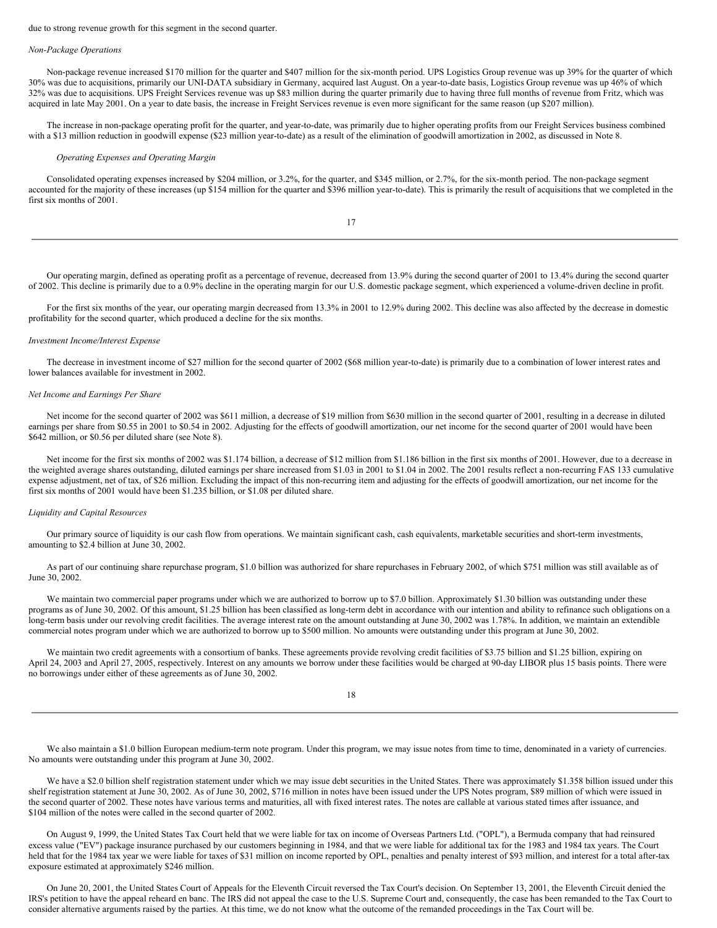due to strong revenue growth for this segment in the second quarter.

#### *Non-Package Operations*

Non-package revenue increased \$170 million for the quarter and \$407 million for the six-month period. UPS Logistics Group revenue was up 39% for the quarter of which 30% was due to acquisitions, primarily our UNI-DATA subsidiary in Germany, acquired last August. On a year-to-date basis, Logistics Group revenue was up 46% of which 32% was due to acquisitions. UPS Freight Services revenue was up \$83 million during the quarter primarily due to having three full months of revenue from Fritz, which was acquired in late May 2001. On a year to date basis, the increase in Freight Services revenue is even more significant for the same reason (up \$207 million).

The increase in non-package operating profit for the quarter, and year-to-date, was primarily due to higher operating profits from our Freight Services business combined with a \$13 million reduction in goodwill expense (\$23 million year-to-date) as a result of the elimination of goodwill amortization in 2002, as discussed in Note 8.

#### *Operating Expenses and Operating Margin*

Consolidated operating expenses increased by \$204 million, or 3.2%, for the quarter, and \$345 million, or 2.7%, for the six-month period. The non-package segment accounted for the majority of these increases (up \$154 million for the quarter and \$396 million year-to-date). This is primarily the result of acquisitions that we completed in the first six months of 2001.

17

Our operating margin, defined as operating profit as a percentage of revenue, decreased from 13.9% during the second quarter of 2001 to 13.4% during the second quarter of 2002. This decline is primarily due to a 0.9% decline in the operating margin for our U.S. domestic package segment, which experienced a volume-driven decline in profit.

For the first six months of the year, our operating margin decreased from 13.3% in 2001 to 12.9% during 2002. This decline was also affected by the decrease in domestic profitability for the second quarter, which produced a decline for the six months.

#### *Investment Income/Interest Expense*

The decrease in investment income of \$27 million for the second quarter of 2002 (\$68 million year-to-date) is primarily due to a combination of lower interest rates and lower balances available for investment in 2002.

#### *Net Income and Earnings Per Share*

Net income for the second quarter of 2002 was \$611 million, a decrease of \$19 million from \$630 million in the second quarter of 2001, resulting in a decrease in diluted earnings per share from \$0.55 in 2001 to \$0.54 in 2002. Adjusting for the effects of goodwill amortization, our net income for the second quarter of 2001 would have been \$642 million, or \$0.56 per diluted share (see Note 8).

Net income for the first six months of 2002 was \$1.174 billion, a decrease of \$12 million from \$1.186 billion in the first six months of 2001. However, due to a decrease in the weighted average shares outstanding, diluted earnings per share increased from \$1.03 in 2001 to \$1.04 in 2002. The 2001 results reflect a non-recurring FAS 133 cumulative expense adjustment, net of tax, of \$26 million. Excluding the impact of this non-recurring item and adjusting for the effects of goodwill amortization, our net income for the first six months of 2001 would have been \$1.235 billion, or \$1.08 per diluted share.

#### *Liquidity and Capital Resources*

Our primary source of liquidity is our cash flow from operations. We maintain significant cash, cash equivalents, marketable securities and short-term investments, amounting to \$2.4 billion at June 30, 2002.

As part of our continuing share repurchase program, \$1.0 billion was authorized for share repurchases in February 2002, of which \$751 million was still available as of June 30, 2002.

We maintain two commercial paper programs under which we are authorized to borrow up to \$7.0 billion. Approximately \$1.30 billion was outstanding under these programs as of June 30, 2002. Of this amount, \$1.25 billion has been classified as long-term debt in accordance with our intention and ability to refinance such obligations on a long-term basis under our revolving credit facilities. The average interest rate on the amount outstanding at June 30, 2002 was 1.78%. In addition, we maintain an extendible commercial notes program under which we are authorized to borrow up to \$500 million. No amounts were outstanding under this program at June 30, 2002.

We maintain two credit agreements with a consortium of banks. These agreements provide revolving credit facilities of \$3.75 billion and \$1.25 billion, expiring on April 24, 2003 and April 27, 2005, respectively. Interest on any amounts we borrow under these facilities would be charged at 90-day LIBOR plus 15 basis points. There were no borrowings under either of these agreements as of June 30, 2002.

| ×<br>I<br>۹<br>w |
|------------------|
|                  |

We also maintain a \$1.0 billion European medium-term note program. Under this program, we may issue notes from time to time, denominated in a variety of currencies. No amounts were outstanding under this program at June 30, 2002.

We have a \$2.0 billion shelf registration statement under which we may issue debt securities in the United States. There was approximately \$1.358 billion issued under this shelf registration statement at June 30, 2002. As of June 30, 2002, \$716 million in notes have been issued under the UPS Notes program, \$89 million of which were issued in the second quarter of 2002. These notes have various terms and maturities, all with fixed interest rates. The notes are callable at various stated times after issuance, and \$104 million of the notes were called in the second quarter of 2002.

On August 9, 1999, the United States Tax Court held that we were liable for tax on income of Overseas Partners Ltd. ("OPL"), a Bermuda company that had reinsured excess value ("EV") package insurance purchased by our customers beginning in 1984, and that we were liable for additional tax for the 1983 and 1984 tax years. The Court held that for the 1984 tax year we were liable for taxes of \$31 million on income reported by OPL, penalties and penalty interest of \$93 million, and interest for a total after-tax exposure estimated at approximately \$246 million.

On June 20, 2001, the United States Court of Appeals for the Eleventh Circuit reversed the Tax Court's decision. On September 13, 2001, the Eleventh Circuit denied the IRS's petition to have the appeal reheard en banc. The IRS did not appeal the case to the U.S. Supreme Court and, consequently, the case has been remanded to the Tax Court to consider alternative arguments raised by the parties. At this time, we do not know what the outcome of the remanded proceedings in the Tax Court will be.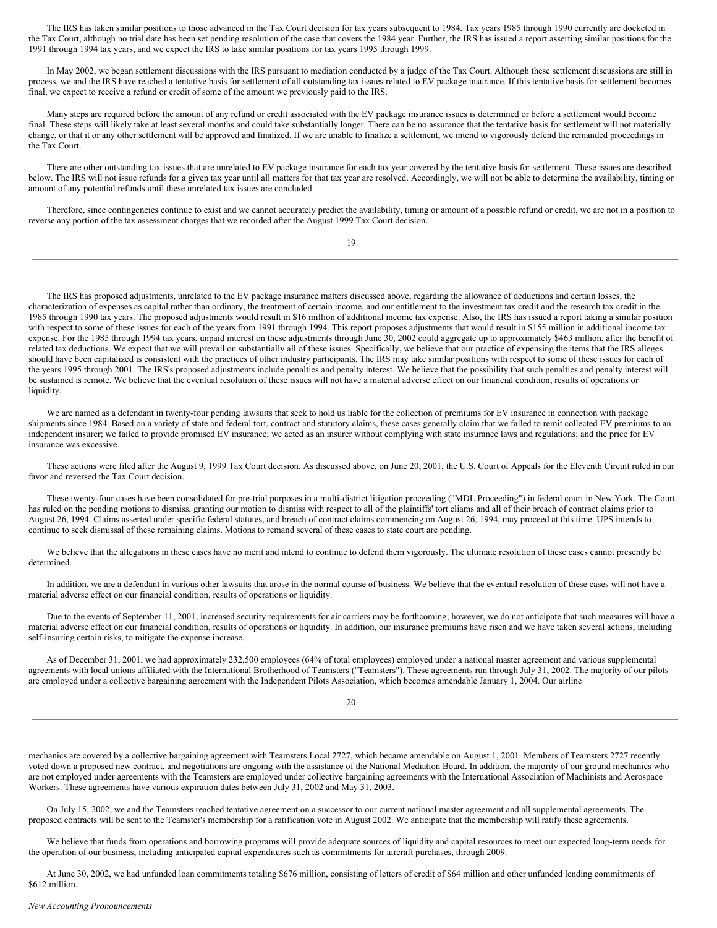The IRS has taken similar positions to those advanced in the Tax Court decision for tax years subsequent to 1984. Tax years 1985 through 1990 currently are docketed in the Tax Court, although no trial date has been set pending resolution of the case that covers the 1984 year. Further, the IRS has issued a report asserting similar positions for the 1991 through 1994 tax years, and we expect the IRS to take similar positions for tax years 1995 through 1999.

In May 2002, we began settlement discussions with the IRS pursuant to mediation conducted by a judge of the Tax Court. Although these settlement discussions are still in process, we and the IRS have reached a tentative basis for settlement of all outstanding tax issues related to EV package insurance. If this tentative basis for settlement becomes final, we expect to receive a refund or credit of some of the amount we previously paid to the IRS.

Many steps are required before the amount of any refund or credit associated with the EV package insurance issues is determined or before a settlement would become final. These steps will likely take at least several months and could take substantially longer. There can be no assurance that the tentative basis for settlement will not materially change, or that it or any other settlement will be approved and finalized. If we are unable to finalize a settlement, we intend to vigorously defend the remanded proceedings in the Tax Court.

There are other outstanding tax issues that are unrelated to EV package insurance for each tax year covered by the tentative basis for settlement. These issues are described below. The IRS will not issue refunds for a given tax year until all matters for that tax year are resolved. Accordingly, we will not be able to determine the availability, timing or amount of any potential refunds until these unrelated tax issues are concluded.

Therefore, since contingencies continue to exist and we cannot accurately predict the availability, timing or amount of a possible refund or credit, we are not in a position to reverse any portion of the tax assessment charges that we recorded after the August 1999 Tax Court decision.

19

The IRS has proposed adjustments, unrelated to the EV package insurance matters discussed above, regarding the allowance of deductions and certain losses, the characterization of expenses as capital rather than ordinary, the treatment of certain income, and our entitlement to the investment tax credit and the research tax credit in the 1985 through 1990 tax years. The proposed adjustments would result in \$16 million of additional income tax expense. Also, the IRS has issued a report taking a similar position with respect to some of these issues for each of the years from 1991 through 1994. This report proposes adjustments that would result in \$155 million in additional income tax expense. For the 1985 through 1994 tax years, unpaid interest on these adjustments through June 30, 2002 could aggregate up to approximately \$463 million, after the benefit of related tax deductions. We expect that we will prevail on substantially all of these issues. Specifically, we believe that our practice of expensing the items that the IRS alleges should have been capitalized is consistent with the practices of other industry participants. The IRS may take similar positions with respect to some of these issues for each of the years 1995 through 2001. The IRS's proposed adjustments include penalties and penalty interest. We believe that the possibility that such penalties and penalty interest will be sustained is remote. We believe that the eventual resolution of these issues will not have a material adverse effect on our financial condition, results of operations or liquidity.

We are named as a defendant in twenty-four pending lawsuits that seek to hold us liable for the collection of premiums for EV insurance in connection with package shipments since 1984. Based on a variety of state and federal tort, contract and statutory claims, these cases generally claim that we failed to remit collected EV premiums to an independent insurer; we failed to provide promised EV insurance; we acted as an insurer without complying with state insurance laws and regulations; and the price for EV insurance was excessive.

These actions were filed after the August 9, 1999 Tax Court decision. As discussed above, on June 20, 2001, the U.S. Court of Appeals for the Eleventh Circuit ruled in our favor and reversed the Tax Court decision.

These twenty-four cases have been consolidated for pre-trial purposes in a multi-district litigation proceeding ("MDL Proceeding") in federal court in New York. The Court has ruled on the pending motions to dismiss, granting our motion to dismiss with respect to all of the plaintiffs' tort cliams and all of their breach of contract claims prior to August 26, 1994. Claims asserted under specific federal statutes, and breach of contract claims commencing on August 26, 1994, may proceed at this time. UPS intends to continue to seek dismissal of these remaining claims. Motions to remand several of these cases to state court are pending.

We believe that the allegations in these cases have no merit and intend to continue to defend them vigorously. The ultimate resolution of these cases cannot presently be determined.

In addition, we are a defendant in various other lawsuits that arose in the normal course of business. We believe that the eventual resolution of these cases will not have a material adverse effect on our financial condition, results of operations or liquidity.

Due to the events of September 11, 2001, increased security requirements for air carriers may be forthcoming; however, we do not anticipate that such measures will have a material adverse effect on our financial condition, results of operations or liquidity. In addition, our insurance premiums have risen and we have taken several actions, including self-insuring certain risks, to mitigate the expense increase.

As of December 31, 2001, we had approximately 232,500 employees (64% of total employees) employed under a national master agreement and various supplemental agreements with local unions affiliated with the International Brotherhood of Teamsters ("Teamsters"). These agreements run through July 31, 2002. The majority of our pilots are employed under a collective bargaining agreement with the Independent Pilots Association, which becomes amendable January 1, 2004. Our airline

20

mechanics are covered by a collective bargaining agreement with Teamsters Local 2727, which became amendable on August 1, 2001. Members of Teamsters 2727 recently voted down a proposed new contract, and negotiations are ongoing with the assistance of the National Mediation Board. In addition, the majority of our ground mechanics who are not employed under agreements with the Teamsters are employed under collective bargaining agreements with the International Association of Machinists and Aerospace Workers. These agreements have various expiration dates between July 31, 2002 and May 31, 2003.

On July 15, 2002, we and the Teamsters reached tentative agreement on a successor to our current national master agreement and all supplemental agreements. The proposed contracts will be sent to the Teamster's membership for a ratification vote in August 2002. We anticipate that the membership will ratify these agreements.

We believe that funds from operations and borrowing programs will provide adequate sources of liquidity and capital resources to meet our expected long-term needs for the operation of our business, including anticipated capital expenditures such as commitments for aircraft purchases, through 2009.

At June 30, 2002, we had unfunded loan commitments totaling \$676 million, consisting of letters of credit of \$64 million and other unfunded lending commitments of \$612 million.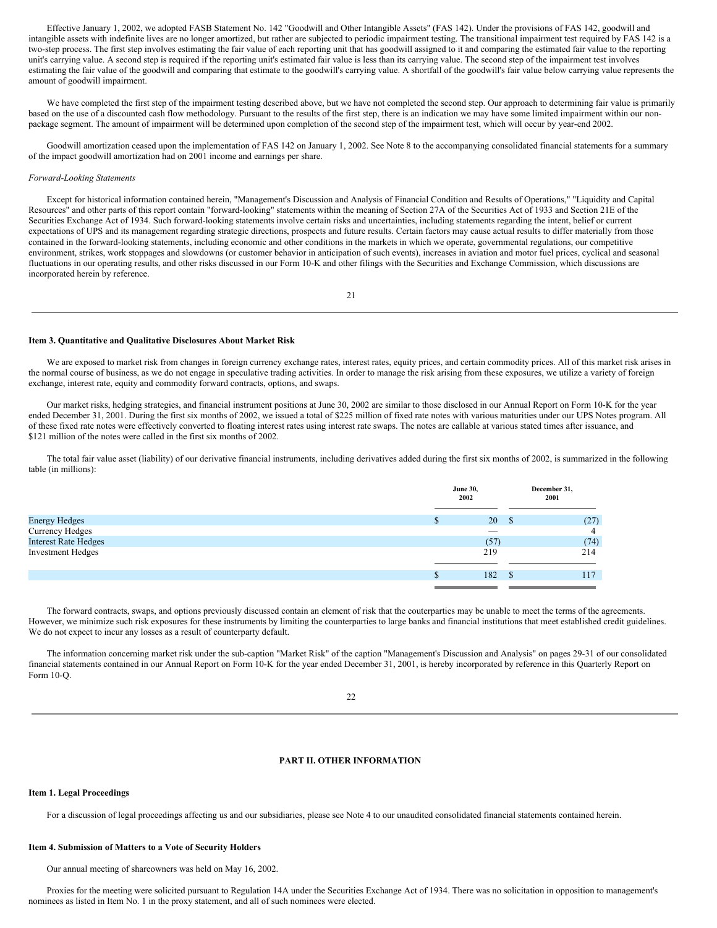Effective January 1, 2002, we adopted FASB Statement No. 142 "Goodwill and Other Intangible Assets" (FAS 142). Under the provisions of FAS 142, goodwill and intangible assets with indefinite lives are no longer amortized, but rather are subjected to periodic impairment testing. The transitional impairment test required by FAS 142 is a two-step process. The first step involves estimating the fair value of each reporting unit that has goodwill assigned to it and comparing the estimated fair value to the reporting unit's carrying value. A second step is required if the reporting unit's estimated fair value is less than its carrying value. The second step of the impairment test involves estimating the fair value of the goodwill and comparing that estimate to the goodwill's carrying value. A shortfall of the goodwill's fair value below carrying value represents the amount of goodwill impairment.

We have completed the first step of the impairment testing described above, but we have not completed the second step. Our approach to determining fair value is primarily based on the use of a discounted cash flow methodology. Pursuant to the results of the first step, there is an indication we may have some limited impairment within our nonpackage segment. The amount of impairment will be determined upon completion of the second step of the impairment test, which will occur by year-end 2002.

Goodwill amortization ceased upon the implementation of FAS 142 on January 1, 2002. See Note 8 to the accompanying consolidated financial statements for a summary of the impact goodwill amortization had on 2001 income and earnings per share.

#### *Forward-Looking Statements*

Except for historical information contained herein, "Management's Discussion and Analysis of Financial Condition and Results of Operations," "Liquidity and Capital Resources" and other parts of this report contain "forward-looking" statements within the meaning of Section 27A of the Securities Act of 1933 and Section 21E of the Securities Exchange Act of 1934. Such forward-looking statements involve certain risks and uncertainties, including statements regarding the intent, belief or current expectations of UPS and its management regarding strategic directions, prospects and future results. Certain factors may cause actual results to differ materially from those contained in the forward-looking statements, including economic and other conditions in the markets in which we operate, governmental regulations, our competitive environment, strikes, work stoppages and slowdowns (or customer behavior in anticipation of such events), increases in aviation and motor fuel prices, cyclical and seasonal fluctuations in our operating results, and other risks discussed in our Form 10-K and other filings with the Securities and Exchange Commission, which discussions are incorporated herein by reference.

21

#### <span id="page-13-0"></span>**Item 3. Quantitative and Qualitative Disclosures About Market Risk**

We are exposed to market risk from changes in foreign currency exchange rates, interest rates, equity prices, and certain commodity prices. All of this market risk arises in the normal course of business, as we do not engage in speculative trading activities. In order to manage the risk arising from these exposures, we utilize a variety of foreign exchange, interest rate, equity and commodity forward contracts, options, and swaps.

Our market risks, hedging strategies, and financial instrument positions at June 30, 2002 are similar to those disclosed in our Annual Report on Form 10-K for the year ended December 31, 2001. During the first six months of 2002, we issued a total of \$225 million of fixed rate notes with various maturities under our UPS Notes program. All of these fixed rate notes were effectively converted to floating interest rates using interest rate swaps. The notes are callable at various stated times after issuance, and \$121 million of the notes were called in the first six months of 2002.

The total fair value asset (liability) of our derivative financial instruments, including derivatives added during the first six months of 2002, is summarized in the following table (in millions):

|                             | <b>June 30,</b><br>2002 | December 31,<br>2001 |
|-----------------------------|-------------------------|----------------------|
|                             |                         |                      |
| <b>Energy Hedges</b>        | 20                      | (27)<br>- \$         |
| Currency Hedges             | $-$                     |                      |
| <b>Interest Rate Hedges</b> | (57)                    | (74)                 |
| <b>Investment Hedges</b>    | 219                     | 214                  |
|                             |                         |                      |
|                             | 182                     | 117                  |
|                             |                         |                      |

The forward contracts, swaps, and options previously discussed contain an element of risk that the couterparties may be unable to meet the terms of the agreements. However, we minimize such risk exposures for these instruments by limiting the counterparties to large banks and financial institutions that meet established credit guidelines. We do not expect to incur any losses as a result of counterparty default.

The information concerning market risk under the sub-caption "Market Risk" of the caption "Management's Discussion and Analysis" on pages 29-31 of our consolidated financial statements contained in our Annual Report on Form 10-K for the year ended December 31, 2001, is hereby incorporated by reference in this Quarterly Report on Form 10-Q.

### <span id="page-13-1"></span> $22$

### **PART II. OTHER INFORMATION**

#### <span id="page-13-2"></span>**Item 1. Legal Proceedings**

For a discussion of legal proceedings affecting us and our subsidiaries, please see Note 4 to our unaudited consolidated financial statements contained herein.

#### <span id="page-13-3"></span>**Item 4. Submission of Matters to a Vote of Security Holders**

Our annual meeting of shareowners was held on May 16, 2002.

Proxies for the meeting were solicited pursuant to Regulation 14A under the Securities Exchange Act of 1934. There was no solicitation in opposition to management's nominees as listed in Item No. 1 in the proxy statement, and all of such nominees were elected.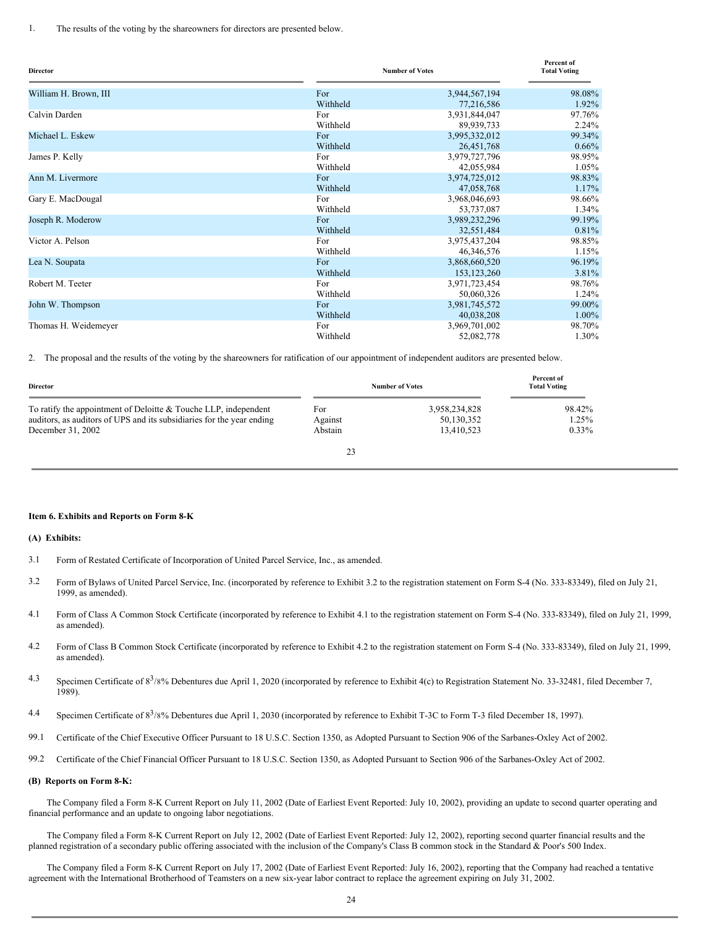1. The results of the voting by the shareowners for directors are presented below.

| <b>Director</b>       |          | <b>Number of Votes</b> | Percent of<br><b>Total Voting</b> |
|-----------------------|----------|------------------------|-----------------------------------|
| William H. Brown, III | For      | 3,944,567,194          | 98.08%                            |
|                       | Withheld | 77,216,586             | 1.92%                             |
| Calvin Darden         | For      | 3,931,844,047          | 97.76%                            |
|                       | Withheld | 89,939,733             | 2.24%                             |
| Michael L. Eskew      | For      | 3,995,332,012          | 99.34%                            |
|                       | Withheld | 26,451,768             | $0.66\%$                          |
| James P. Kelly        | For      | 3,979,727,796          | 98.95%                            |
|                       | Withheld | 42,055,984             | 1.05%                             |
| Ann M. Livermore      | For      | 3,974,725,012          | 98.83%                            |
|                       | Withheld | 47,058,768             | 1.17%                             |
| Gary E. MacDougal     | For      | 3,968,046,693          | 98.66%                            |
|                       | Withheld | 53,737,087             | 1.34%                             |
| Joseph R. Moderow     | For      | 3,989,232,296          | 99.19%                            |
|                       | Withheld | 32,551,484             | 0.81%                             |
| Victor A. Pelson      | For      | 3,975,437,204          | 98.85%                            |
|                       | Withheld | 46,346,576             | 1.15%                             |
| Lea N. Soupata        | For      | 3,868,660,520          | 96.19%                            |
|                       | Withheld | 153, 123, 260          | 3.81%                             |
| Robert M. Teeter      | For      | 3,971,723,454          | 98.76%                            |
|                       | Withheld | 50,060,326             | 1.24%                             |
| John W. Thompson      | For      | 3,981,745,572          | 99.00%                            |
|                       | Withheld | 40,038,208             | 1.00%                             |
| Thomas H. Weidemeyer  | For      | 3,969,701,002          | 98.70%                            |
|                       | Withheld | 52,082,778             | 1.30%                             |

2. The proposal and the results of the voting by the shareowners for ratification of our appointment of independent auditors are presented below.

| <b>Director</b>                                                                                                                                                 |                           | <b>Number of Votes</b>                    | Percent of<br><b>Total Voting</b> |
|-----------------------------------------------------------------------------------------------------------------------------------------------------------------|---------------------------|-------------------------------------------|-----------------------------------|
| To ratify the appointment of Deloitte $&$ Touche LLP, independent<br>auditors, as auditors of UPS and its subsidiaries for the year ending<br>December 31, 2002 | For<br>Against<br>Abstain | 3,958,234,828<br>50,130,352<br>13,410,523 | 98.42%<br>1.25%<br>$0.33\%$       |
|                                                                                                                                                                 | 23                        |                                           |                                   |

#### <span id="page-14-0"></span>**Item 6. Exhibits and Reports on Form 8-K**

#### **(A) Exhibits:**

- 3.1 Form of Restated Certificate of Incorporation of United Parcel Service, Inc., as amended.
- 3.2 Form of Bylaws of United Parcel Service, Inc. (incorporated by reference to Exhibit 3.2 to the registration statement on Form S-4 (No. 333-83349), filed on July 21, 1999, as amended).
- 4.1 Form of Class A Common Stock Certificate (incorporated by reference to Exhibit 4.1 to the registration statement on Form S-4 (No. 333-83349), filed on July 21, 1999, as amended).
- 4.2 Form of Class B Common Stock Certificate (incorporated by reference to Exhibit 4.2 to the registration statement on Form S-4 (No. 333-83349), filed on July 21, 1999, as amended).
- 4.3 Specimen Certificate of  $8^3/8\%$  Debentures due April 1, 2020 (incorporated by reference to Exhibit 4(c) to Registration Statement No. 33-32481, filed December 7, 1989).
- 4.4 Specimen Certificate of 8<sup>3</sup>/8% Debentures due April 1, 2030 (incorporated by reference to Exhibit T-3C to Form T-3 filed December 18, 1997).
- 99.1 Certificate of the Chief Executive Officer Pursuant to 18 U.S.C. Section 1350, as Adopted Pursuant to Section 906 of the Sarbanes-Oxley Act of 2002.
- 99.2 Certificate of the Chief Financial Officer Pursuant to 18 U.S.C. Section 1350, as Adopted Pursuant to Section 906 of the Sarbanes-Oxley Act of 2002.

#### **(B) Reports on Form 8-K:**

The Company filed a Form 8-K Current Report on July 11, 2002 (Date of Earliest Event Reported: July 10, 2002), providing an update to second quarter operating and financial performance and an update to ongoing labor negotiations.

The Company filed a Form 8-K Current Report on July 12, 2002 (Date of Earliest Event Reported: July 12, 2002), reporting second quarter financial results and the planned registration of a secondary public offering associated with the inclusion of the Company's Class B common stock in the Standard & Poor's 500 Index.

The Company filed a Form 8-K Current Report on July 17, 2002 (Date of Earliest Event Reported: July 16, 2002), reporting that the Company had reached a tentative agreement with the International Brotherhood of Teamsters on a new six-year labor contract to replace the agreement expiring on July 31, 2002.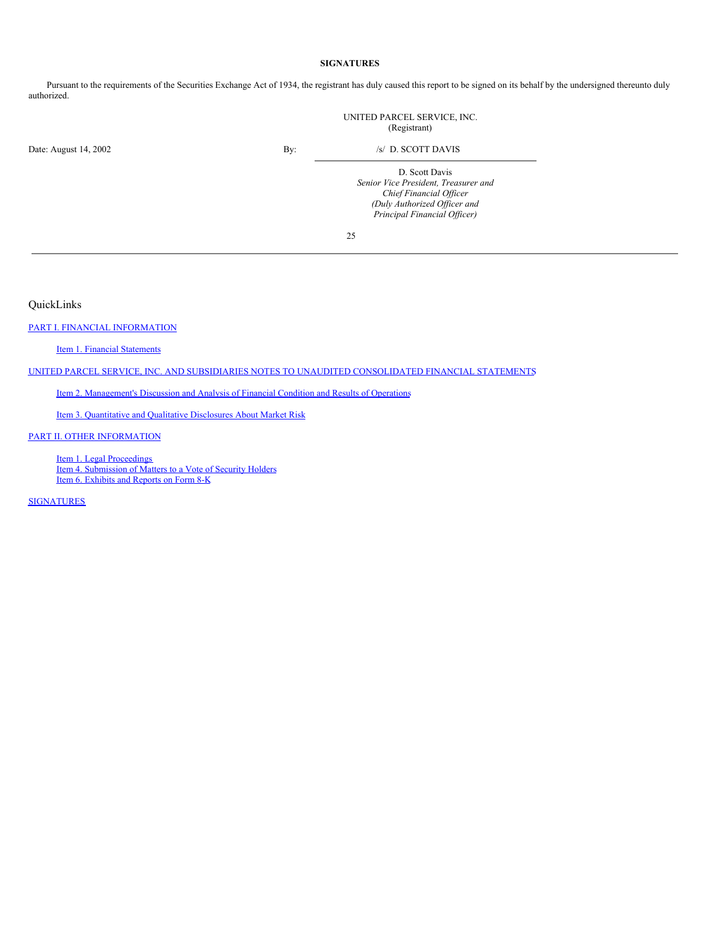### <span id="page-15-1"></span>**SIGNATURES**

Pursuant to the requirements of the Securities Exchange Act of 1934, the registrant has duly caused this report to be signed on its behalf by the undersigned thereunto duly authorized.

|                       |     | UNITED PARCEL SERVICE, INC.<br>(Registrant)                                                                                                       |
|-----------------------|-----|---------------------------------------------------------------------------------------------------------------------------------------------------|
| Date: August 14, 2002 | By: | /s/ D. SCOTT DAVIS                                                                                                                                |
|                       |     | D. Scott Davis<br>Senior Vice President, Treasurer and<br>Chief Financial Officer<br>(Duly Authorized Officer and<br>Principal Financial Officer) |

25

<span id="page-15-0"></span>QuickLinks

PART I. FINANCIAL [INFORMATION](#page-0-0)

Item 1. Financial [Statements](#page-0-1)

UNITED PARCEL SERVICE, INC. AND SUBSIDIARIES NOTES TO UNAUDITED [CONSOLIDATED](#page-3-0) FINANCIAL STATEMENTS

Item 2. [Management's](#page-8-0) Discussion and Analysis of Financial Condition and Results of Operations

Item 3. [Quantitative](#page-13-0) and Qualitative Disclosures About Market Risk

### PART II. OTHER [INFORMATION](#page-13-1)

Item 1. Legal [Proceedings](#page-13-2) Item 4. [Submission](#page-13-3) of Matters to a Vote of Security Holders Item 6. [Exhibits](#page-14-0) and Reports on Form 8-K

**[SIGNATURES](#page-15-1)**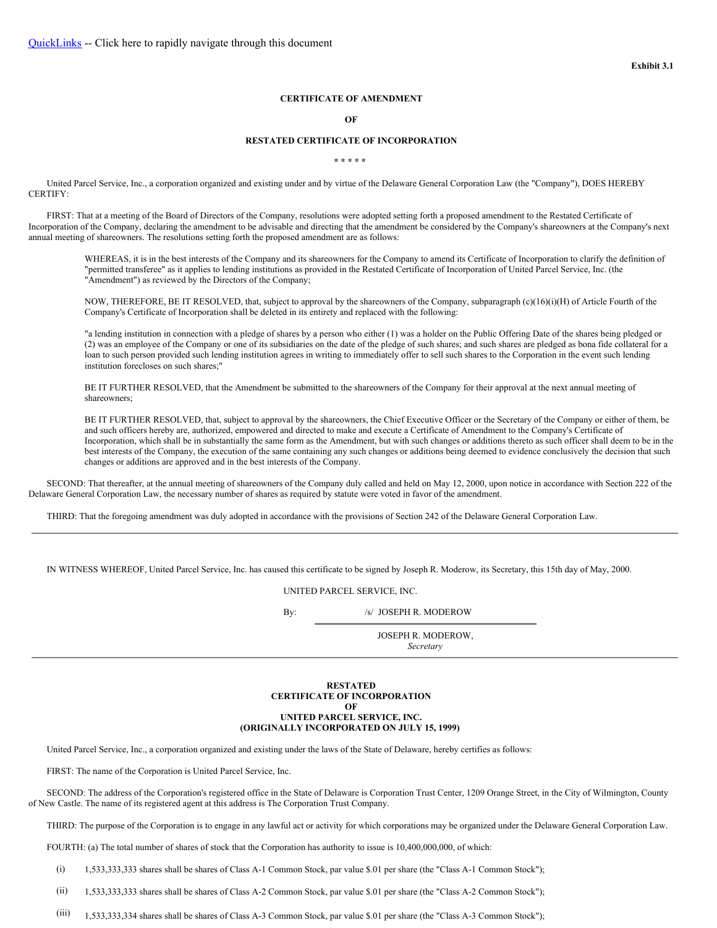#### **CERTIFICATE OF AMENDMENT**

#### <span id="page-16-0"></span>**OF**

### **RESTATED CERTIFICATE OF INCORPORATION**

**\* \* \* \* \***

United Parcel Service, Inc., a corporation organized and existing under and by virtue of the Delaware General Corporation Law (the "Company"), DOES HEREBY CERTIFY:

FIRST: That at a meeting of the Board of Directors of the Company, resolutions were adopted setting forth a proposed amendment to the Restated Certificate of Incorporation of the Company, declaring the amendment to be advisable and directing that the amendment be considered by the Company's shareowners at the Company's next annual meeting of shareowners. The resolutions setting forth the proposed amendment are as follows:

WHEREAS, it is in the best interests of the Company and its shareowners for the Company to amend its Certificate of Incorporation to clarify the definition of "permitted transferee" as it applies to lending institutions as provided in the Restated Certificate of Incorporation of United Parcel Service, Inc. (the "Amendment") as reviewed by the Directors of the Company;

NOW, THEREFORE, BE IT RESOLVED, that, subject to approval by the shareowners of the Company, subparagraph (c)(16)(i)(H) of Article Fourth of the Company's Certificate of Incorporation shall be deleted in its entirety and replaced with the following:

"a lending institution in connection with a pledge of shares by a person who either (1) was a holder on the Public Offering Date of the shares being pledged or (2) was an employee of the Company or one of its subsidiaries on the date of the pledge of such shares; and such shares are pledged as bona fide collateral for a loan to such person provided such lending institution agrees in writing to immediately offer to sell such shares to the Corporation in the event such lending institution forecloses on such shares;"

BE IT FURTHER RESOLVED, that the Amendment be submitted to the shareowners of the Company for their approval at the next annual meeting of shareowners;

BE IT FURTHER RESOLVED, that, subject to approval by the shareowners, the Chief Executive Officer or the Secretary of the Company or either of them, be and such officers hereby are, authorized, empowered and directed to make and execute a Certificate of Amendment to the Company's Certificate of Incorporation, which shall be in substantially the same form as the Amendment, but with such changes or additions thereto as such officer shall deem to be in the best interests of the Company, the execution of the same containing any such changes or additions being deemed to evidence conclusively the decision that such changes or additions are approved and in the best interests of the Company.

SECOND: That thereafter, at the annual meeting of shareowners of the Company duly called and held on May 12, 2000, upon notice in accordance with Section 222 of the Delaware General Corporation Law, the necessary number of shares as required by statute were voted in favor of the amendment.

THIRD: That the foregoing amendment was duly adopted in accordance with the provisions of Section 242 of the Delaware General Corporation Law.

IN WITNESS WHEREOF, United Parcel Service, Inc. has caused this certificate to be signed by Joseph R. Moderow, its Secretary, this 15th day of May, 2000.

UNITED PARCEL SERVICE, INC.

By: /s/ JOSEPH R. MODEROW

<span id="page-16-1"></span>JOSEPH R. MODEROW, *Secretary*

**RESTATED CERTIFICATE OF INCORPORATION OF UNITED PARCEL SERVICE, INC. (ORIGINALLY INCORPORATED ON JULY 15, 1999)**

United Parcel Service, Inc., a corporation organized and existing under the laws of the State of Delaware, hereby certifies as follows:

FIRST: The name of the Corporation is United Parcel Service, Inc.

SECOND: The address of the Corporation's registered office in the State of Delaware is Corporation Trust Center, 1209 Orange Street, in the City of Wilmington, County of New Castle. The name of its registered agent at this address is The Corporation Trust Company.

THIRD: The purpose of the Corporation is to engage in any lawful act or activity for which corporations may be organized under the Delaware General Corporation Law.

FOURTH: (a) The total number of shares of stock that the Corporation has authority to issue is 10,400,000,000, of which:

(i) 1,533,333,333 shares shall be shares of Class A-1 Common Stock, par value \$.01 per share (the "Class A-1 Common Stock");

(ii) 1,533,333,333 shares shall be shares of Class A-2 Common Stock, par value \$.01 per share (the "Class A-2 Common Stock");

(iii) 1,533,333,334 shares shall be shares of Class A-3 Common Stock, par value \$.01 per share (the "Class A-3 Common Stock");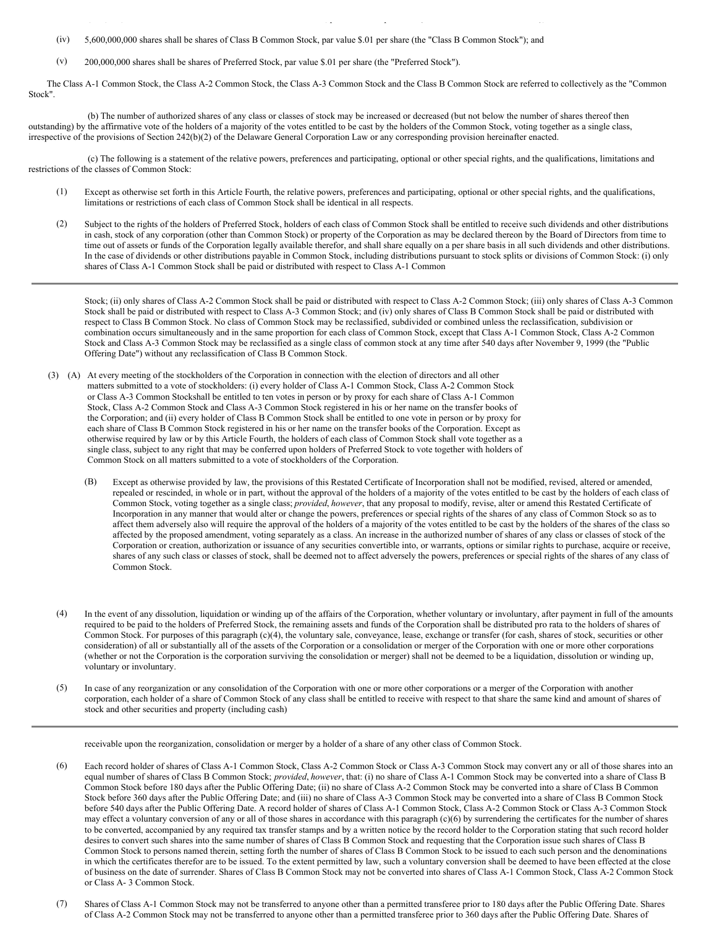(iv) 5,600,000,000 shares shall be shares of Class B Common Stock, par value \$.01 per share (the "Class B Common Stock"); and

(v) 200,000,000 shares shall be shares of Preferred Stock, par value \$.01 per share (the "Preferred Stock").

The Class A-1 Common Stock, the Class A-2 Common Stock, the Class A-3 Common Stock and the Class B Common Stock are referred to collectively as the "Common Stock".

(b) The number of authorized shares of any class or classes of stock may be increased or decreased (but not below the number of shares thereof then outstanding) by the affirmative vote of the holders of a majority of the votes entitled to be cast by the holders of the Common Stock, voting together as a single class, irrespective of the provisions of Section 242(b)(2) of the Delaware General Corporation Law or any corresponding provision hereinafter enacted.

(c) The following is a statement of the relative powers, preferences and participating, optional or other special rights, and the qualifications, limitations and restrictions of the classes of Common Stock:

- (1) Except as otherwise set forth in this Article Fourth, the relative powers, preferences and participating, optional or other special rights, and the qualifications, limitations or restrictions of each class of Common Stock shall be identical in all respects.
- (2) Subject to the rights of the holders of Preferred Stock, holders of each class of Common Stock shall be entitled to receive such dividends and other distributions in cash, stock of any corporation (other than Common Stock) or property of the Corporation as may be declared thereon by the Board of Directors from time to time out of assets or funds of the Corporation legally available therefor, and shall share equally on a per share basis in all such dividends and other distributions. In the case of dividends or other distributions payable in Common Stock, including distributions pursuant to stock splits or divisions of Common Stock: (i) only shares of Class A-1 Common Stock shall be paid or distributed with respect to Class A-1 Common

Stock; (ii) only shares of Class A-2 Common Stock shall be paid or distributed with respect to Class A-2 Common Stock; (iii) only shares of Class A-3 Common Stock shall be paid or distributed with respect to Class A-3 Common Stock; and (iv) only shares of Class B Common Stock shall be paid or distributed with respect to Class B Common Stock. No class of Common Stock may be reclassified, subdivided or combined unless the reclassification, subdivision or combination occurs simultaneously and in the same proportion for each class of Common Stock, except that Class A-1 Common Stock, Class A-2 Common Stock and Class A-3 Common Stock may be reclassified as a single class of common stock at any time after 540 days after November 9, 1999 (the "Public Offering Date") without any reclassification of Class B Common Stock.

- (3) (A) At every meeting of the stockholders of the Corporation in connection with the election of directors and all other matters submitted to a vote of stockholders: (i) every holder of Class A-1 Common Stock, Class A-2 Common Stock or Class A-3 Common Stockshall be entitled to ten votes in person or by proxy for each share of Class A-1 Common Stock, Class A-2 Common Stock and Class A-3 Common Stock registered in his or her name on the transfer books of the Corporation; and (ii) every holder of Class B Common Stock shall be entitled to one vote in person or by proxy for each share of Class B Common Stock registered in his or her name on the transfer books of the Corporation. Except as otherwise required by law or by this Article Fourth, the holders of each class of Common Stock shall vote together as a single class, subject to any right that may be conferred upon holders of Preferred Stock to vote together with holders of Common Stock on all matters submitted to a vote of stockholders of the Corporation.
	- (B) Except as otherwise provided by law, the provisions of this Restated Certificate of Incorporation shall not be modified, revised, altered or amended, repealed or rescinded, in whole or in part, without the approval of the holders of a majority of the votes entitled to be cast by the holders of each class of Common Stock, voting together as a single class; *provided*, *however*, that any proposal to modify, revise, alter or amend this Restated Certificate of Incorporation in any manner that would alter or change the powers, preferences or special rights of the shares of any class of Common Stock so as to affect them adversely also will require the approval of the holders of a majority of the votes entitled to be cast by the holders of the shares of the class so affected by the proposed amendment, voting separately as a class. An increase in the authorized number of shares of any class or classes of stock of the Corporation or creation, authorization or issuance of any securities convertible into, or warrants, options or similar rights to purchase, acquire or receive, shares of any such class or classes of stock, shall be deemed not to affect adversely the powers, preferences or special rights of the shares of any class of Common Stock.
	- (4) In the event of any dissolution, liquidation or winding up of the affairs of the Corporation, whether voluntary or involuntary, after payment in full of the amounts required to be paid to the holders of Preferred Stock, the remaining assets and funds of the Corporation shall be distributed pro rata to the holders of shares of Common Stock. For purposes of this paragraph (c)(4), the voluntary sale, conveyance, lease, exchange or transfer (for cash, shares of stock, securities or other consideration) of all or substantially all of the assets of the Corporation or a consolidation or merger of the Corporation with one or more other corporations (whether or not the Corporation is the corporation surviving the consolidation or merger) shall not be deemed to be a liquidation, dissolution or winding up, voluntary or involuntary.
	- (5) In case of any reorganization or any consolidation of the Corporation with one or more other corporations or a merger of the Corporation with another corporation, each holder of a share of Common Stock of any class shall be entitled to receive with respect to that share the same kind and amount of shares of stock and other securities and property (including cash)

receivable upon the reorganization, consolidation or merger by a holder of a share of any other class of Common Stock.

- (6) Each record holder of shares of Class A-1 Common Stock, Class A-2 Common Stock or Class A-3 Common Stock may convert any or all of those shares into an equal number of shares of Class B Common Stock; *provided*, *however*, that: (i) no share of Class A-1 Common Stock may be converted into a share of Class B Common Stock before 180 days after the Public Offering Date; (ii) no share of Class A-2 Common Stock may be converted into a share of Class B Common Stock before 360 days after the Public Offering Date; and (iii) no share of Class A-3 Common Stock may be converted into a share of Class B Common Stock before 540 days after the Public Offering Date. A record holder of shares of Class A-1 Common Stock, Class A-2 Common Stock or Class A-3 Common Stock may effect a voluntary conversion of any or all of those shares in accordance with this paragraph (c)(6) by surrendering the certificates for the number of shares to be converted, accompanied by any required tax transfer stamps and by a written notice by the record holder to the Corporation stating that such record holder desires to convert such shares into the same number of shares of Class B Common Stock and requesting that the Corporation issue such shares of Class B Common Stock to persons named therein, setting forth the number of shares of Class B Common Stock to be issued to each such person and the denominations in which the certificates therefor are to be issued. To the extent permitted by law, such a voluntary conversion shall be deemed to have been effected at the close of business on the date of surrender. Shares of Class B Common Stock may not be converted into shares of Class A-1 Common Stock, Class A-2 Common Stock or Class A- 3 Common Stock.
- (7) Shares of Class A-1 Common Stock may not be transferred to anyone other than a permitted transferee prior to 180 days after the Public Offering Date. Shares of Class A-2 Common Stock may not be transferred to anyone other than a permitted transferee prior to 360 days after the Public Offering Date. Shares of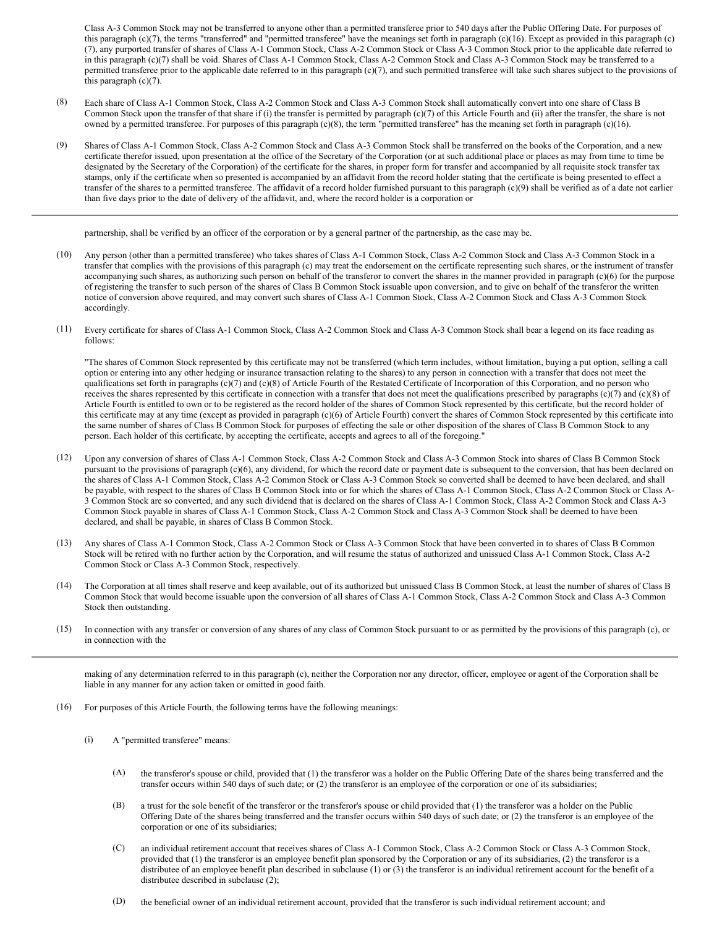Class A-3 Common Stock may not be transferred to anyone other than a permitted transferee prior to 540 days after the Public Offering Date. For purposes of this paragraph  $(c)(7)$ , the terms "transferred" and "permitted transferee" have the meanings set forth in paragraph  $(c)(16)$ . Except as provided in this paragraph  $(c)$ (7), any purported transfer of shares of Class A-1 Common Stock, Class A-2 Common Stock or Class A-3 Common Stock prior to the applicable date referred to in this paragraph (c)(7) shall be void. Shares of Class A-1 Common Stock, Class A-2 Common Stock and Class A-3 Common Stock may be transferred to a permitted transferee prior to the applicable date referred to in this paragraph (c)(7), and such permitted transferee will take such shares subject to the provisions of this paragraph (c)(7).

- (8) Each share of Class A-1 Common Stock, Class A-2 Common Stock and Class A-3 Common Stock shall automatically convert into one share of Class B Common Stock upon the transfer of that share if (i) the transfer is permitted by paragraph (c)(7) of this Article Fourth and (ii) after the transfer, the share is not owned by a permitted transferee. For purposes of this paragraph (c)(8), the term "permitted transferee" has the meaning set forth in paragraph (c)(16).
- (9) Shares of Class A-1 Common Stock, Class A-2 Common Stock and Class A-3 Common Stock shall be transferred on the books of the Corporation, and a new certificate therefor issued, upon presentation at the office of the Secretary of the Corporation (or at such additional place or places as may from time to time be designated by the Secretary of the Corporation) of the certificate for the shares, in proper form for transfer and accompanied by all requisite stock transfer tax stamps, only if the certificate when so presented is accompanied by an affidavit from the record holder stating that the certificate is being presented to effect a transfer of the shares to a permitted transferee. The affidavit of a record holder furnished pursuant to this paragraph (c)(9) shall be verified as of a date not earlier than five days prior to the date of delivery of the affidavit, and, where the record holder is a corporation or

partnership, shall be verified by an officer of the corporation or by a general partner of the partnership, as the case may be.

- (10) Any person (other than a permitted transferee) who takes shares of Class A-1 Common Stock, Class A-2 Common Stock and Class A-3 Common Stock in a transfer that complies with the provisions of this paragraph (c) may treat the endorsement on the certificate representing such shares, or the instrument of transfer accompanying such shares, as authorizing such person on behalf of the transferor to convert the shares in the manner provided in paragraph (c)(6) for the purpose of registering the transfer to such person of the shares of Class B Common Stock issuable upon conversion, and to give on behalf of the transferor the written notice of conversion above required, and may convert such shares of Class A-1 Common Stock, Class A-2 Common Stock and Class A-3 Common Stock accordingly.
- (11) Every certificate for shares of Class A-1 Common Stock, Class A-2 Common Stock and Class A-3 Common Stock shall bear a legend on its face reading as follows:

"The shares of Common Stock represented by this certificate may not be transferred (which term includes, without limitation, buying a put option, selling a call option or entering into any other hedging or insurance transaction relating to the shares) to any person in connection with a transfer that does not meet the qualifications set forth in paragraphs (c)(7) and (c)(8) of Article Fourth of the Restated Certificate of Incorporation of this Corporation, and no person who receives the shares represented by this certificate in connection with a transfer that does not meet the qualifications prescribed by paragraphs  $(c)(7)$  and  $(c)(8)$  of Article Fourth is entitled to own or to be registered as the record holder of the shares of Common Stock represented by this certificate, but the record holder of this certificate may at any time (except as provided in paragraph (c)(6) of Article Fourth) convert the shares of Common Stock represented by this certificate into the same number of shares of Class B Common Stock for purposes of effecting the sale or other disposition of the shares of Class B Common Stock to any person. Each holder of this certificate, by accepting the certificate, accepts and agrees to all of the foregoing."

- (12) Upon any conversion of shares of Class A-1 Common Stock, Class A-2 Common Stock and Class A-3 Common Stock into shares of Class B Common Stock pursuant to the provisions of paragraph (c)(6), any dividend, for which the record date or payment date is subsequent to the conversion, that has been declared on the shares of Class A-1 Common Stock, Class A-2 Common Stock or Class A-3 Common Stock so converted shall be deemed to have been declared, and shall be payable, with respect to the shares of Class B Common Stock into or for which the shares of Class A-1 Common Stock, Class A-2 Common Stock or Class A-3 Common Stock are so converted, and any such dividend that is declared on the shares of Class A-1 Common Stock, Class A-2 Common Stock and Class A-3 Common Stock payable in shares of Class A-1 Common Stock, Class A-2 Common Stock and Class A-3 Common Stock shall be deemed to have been declared, and shall be payable, in shares of Class B Common Stock.
- (13) Any shares of Class A-1 Common Stock, Class A-2 Common Stock or Class A-3 Common Stock that have been converted in to shares of Class B Common Stock will be retired with no further action by the Corporation, and will resume the status of authorized and unissued Class A-1 Common Stock, Class A-2 Common Stock or Class A-3 Common Stock, respectively.
- (14) The Corporation at all times shall reserve and keep available, out of its authorized but unissued Class B Common Stock, at least the number of shares of Class B Common Stock that would become issuable upon the conversion of all shares of Class A-1 Common Stock, Class A-2 Common Stock and Class A-3 Common Stock then outstanding.
- (15) In connection with any transfer or conversion of any shares of any class of Common Stock pursuant to or as permitted by the provisions of this paragraph (c), or in connection with the

making of any determination referred to in this paragraph (c), neither the Corporation nor any director, officer, employee or agent of the Corporation shall be liable in any manner for any action taken or omitted in good faith.

- (16) For purposes of this Article Fourth, the following terms have the following meanings:
	- (i) A "permitted transferee" means:
		- (A) the transferor's spouse or child, provided that (1) the transferor was a holder on the Public Offering Date of the shares being transferred and the transfer occurs within 540 days of such date; or (2) the transferor is an employee of the corporation or one of its subsidiaries;
		- (B) a trust for the sole benefit of the transferor or the transferor's spouse or child provided that (1) the transferor was a holder on the Public Offering Date of the shares being transferred and the transfer occurs within 540 days of such date; or (2) the transferor is an employee of the corporation or one of its subsidiaries;
		- (C) an individual retirement account that receives shares of Class A-1 Common Stock, Class A-2 Common Stock or Class A-3 Common Stock, provided that (1) the transferor is an employee benefit plan sponsored by the Corporation or any of its subsidiaries, (2) the transferor is a distributee of an employee benefit plan described in subclause (1) or (3) the transferor is an individual retirement account for the benefit of a distributee described in subclause (2);
		- (D) the beneficial owner of an individual retirement account, provided that the transferor is such individual retirement account; and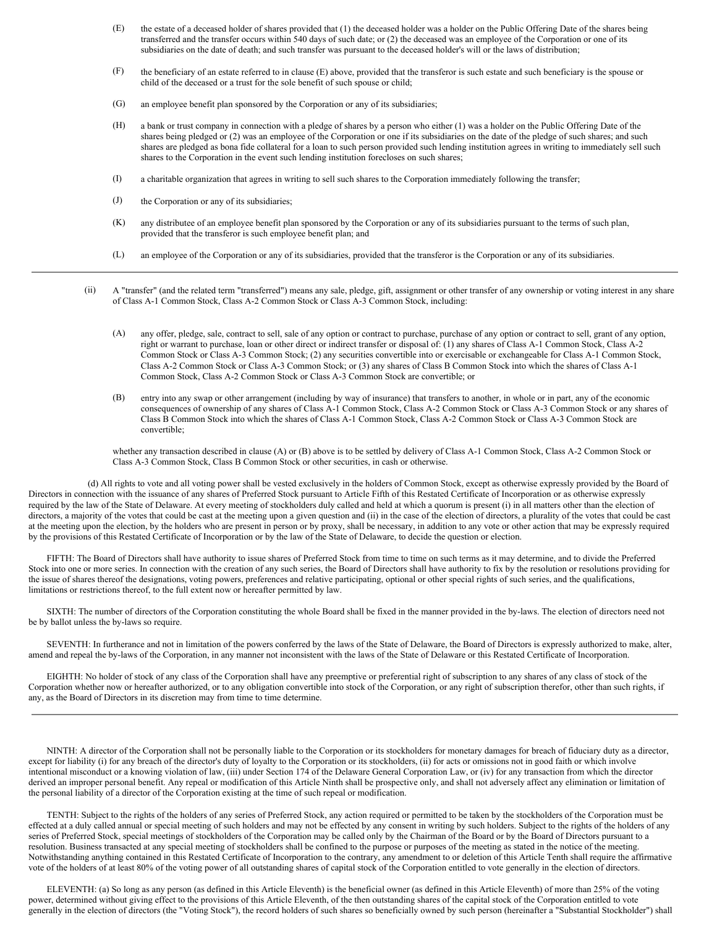- (E) the estate of a deceased holder of shares provided that (1) the deceased holder was a holder on the Public Offering Date of the shares being transferred and the transfer occurs within 540 days of such date; or (2) the deceased was an employee of the Corporation or one of its subsidiaries on the date of death; and such transfer was pursuant to the deceased holder's will or the laws of distribution;
- (F) the beneficiary of an estate referred to in clause (E) above, provided that the transferor is such estate and such beneficiary is the spouse or child of the deceased or a trust for the sole benefit of such spouse or child;
- (G) an employee benefit plan sponsored by the Corporation or any of its subsidiaries;
- (H) a bank or trust company in connection with a pledge of shares by a person who either (1) was a holder on the Public Offering Date of the shares being pledged or (2) was an employee of the Corporation or one if its subsidiaries on the date of the pledge of such shares; and such shares are pledged as bona fide collateral for a loan to such person provided such lending institution agrees in writing to immediately sell such shares to the Corporation in the event such lending institution forecloses on such shares;
- (I) a charitable organization that agrees in writing to sell such shares to the Corporation immediately following the transfer;
- (J) the Corporation or any of its subsidiaries;
- (K) any distributee of an employee benefit plan sponsored by the Corporation or any of its subsidiaries pursuant to the terms of such plan, provided that the transferor is such employee benefit plan; and
- (L) an employee of the Corporation or any of its subsidiaries, provided that the transferor is the Corporation or any of its subsidiaries.
- (ii) A "transfer" (and the related term "transferred") means any sale, pledge, gift, assignment or other transfer of any ownership or voting interest in any share of Class A-1 Common Stock, Class A-2 Common Stock or Class A-3 Common Stock, including:
	- (A) any offer, pledge, sale, contract to sell, sale of any option or contract to purchase, purchase of any option or contract to sell, grant of any option, right or warrant to purchase, loan or other direct or indirect transfer or disposal of: (1) any shares of Class A-1 Common Stock, Class A-2 Common Stock or Class A-3 Common Stock; (2) any securities convertible into or exercisable or exchangeable for Class A-1 Common Stock, Class A-2 Common Stock or Class A-3 Common Stock; or (3) any shares of Class B Common Stock into which the shares of Class A-1 Common Stock, Class A-2 Common Stock or Class A-3 Common Stock are convertible; or
	- (B) entry into any swap or other arrangement (including by way of insurance) that transfers to another, in whole or in part, any of the economic consequences of ownership of any shares of Class A-1 Common Stock, Class A-2 Common Stock or Class A-3 Common Stock or any shares of Class B Common Stock into which the shares of Class A-1 Common Stock, Class A-2 Common Stock or Class A-3 Common Stock are convertible;

whether any transaction described in clause (A) or (B) above is to be settled by delivery of Class A-1 Common Stock, Class A-2 Common Stock or Class A-3 Common Stock, Class B Common Stock or other securities, in cash or otherwise.

(d) All rights to vote and all voting power shall be vested exclusively in the holders of Common Stock, except as otherwise expressly provided by the Board of Directors in connection with the issuance of any shares of Preferred Stock pursuant to Article Fifth of this Restated Certificate of Incorporation or as otherwise expressly required by the law of the State of Delaware. At every meeting of stockholders duly called and held at which a quorum is present (i) in all matters other than the election of directors, a majority of the votes that could be cast at the meeting upon a given question and (ii) in the case of the election of directors, a plurality of the votes that could be cast at the meeting upon the election, by the holders who are present in person or by proxy, shall be necessary, in addition to any vote or other action that may be expressly required by the provisions of this Restated Certificate of Incorporation or by the law of the State of Delaware, to decide the question or election.

FIFTH: The Board of Directors shall have authority to issue shares of Preferred Stock from time to time on such terms as it may determine, and to divide the Preferred Stock into one or more series. In connection with the creation of any such series, the Board of Directors shall have authority to fix by the resolution or resolutions providing for the issue of shares thereof the designations, voting powers, preferences and relative participating, optional or other special rights of such series, and the qualifications, limitations or restrictions thereof, to the full extent now or hereafter permitted by law.

SIXTH: The number of directors of the Corporation constituting the whole Board shall be fixed in the manner provided in the by-laws. The election of directors need not be by ballot unless the by-laws so require.

SEVENTH: In furtherance and not in limitation of the powers conferred by the laws of the State of Delaware, the Board of Directors is expressly authorized to make, alter, amend and repeal the by-laws of the Corporation, in any manner not inconsistent with the laws of the State of Delaware or this Restated Certificate of Incorporation.

EIGHTH: No holder of stock of any class of the Corporation shall have any preemptive or preferential right of subscription to any shares of any class of stock of the Corporation whether now or hereafter authorized, or to any obligation convertible into stock of the Corporation, or any right of subscription therefor, other than such rights, if any, as the Board of Directors in its discretion may from time to time determine.

NINTH: A director of the Corporation shall not be personally liable to the Corporation or its stockholders for monetary damages for breach of fiduciary duty as a director, except for liability (i) for any breach of the director's duty of loyalty to the Corporation or its stockholders, (ii) for acts or omissions not in good faith or which involve intentional misconduct or a knowing violation of law, (iii) under Section 174 of the Delaware General Corporation Law, or (iv) for any transaction from which the director derived an improper personal benefit. Any repeal or modification of this Article Ninth shall be prospective only, and shall not adversely affect any elimination or limitation of the personal liability of a director of the Corporation existing at the time of such repeal or modification.

TENTH: Subject to the rights of the holders of any series of Preferred Stock, any action required or permitted to be taken by the stockholders of the Corporation must be effected at a duly called annual or special meeting of such holders and may not be effected by any consent in writing by such holders. Subject to the rights of the holders of any series of Preferred Stock, special meetings of stockholders of the Corporation may be called only by the Chairman of the Board or by the Board of Directors pursuant to a resolution. Business transacted at any special meeting of stockholders shall be confined to the purpose or purposes of the meeting as stated in the notice of the meeting. Notwithstanding anything contained in this Restated Certificate of Incorporation to the contrary, any amendment to or deletion of this Article Tenth shall require the affirmative vote of the holders of at least 80% of the voting power of all outstanding shares of capital stock of the Corporation entitled to vote generally in the election of directors.

ELEVENTH: (a) So long as any person (as defined in this Article Eleventh) is the beneficial owner (as defined in this Article Eleventh) of more than 25% of the voting power, determined without giving effect to the provisions of this Article Eleventh, of the then outstanding shares of the capital stock of the Corporation entitled to vote generally in the election of directors (the "Voting Stock"), the record holders of such shares so beneficially owned by such person (hereinafter a "Substantial Stockholder") shall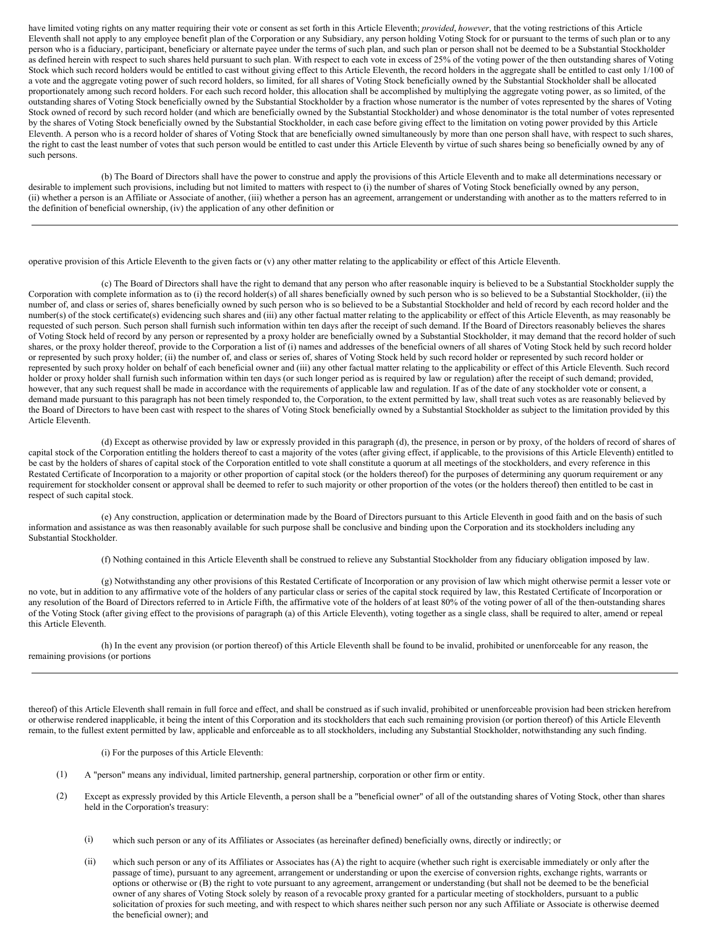have limited voting rights on any matter requiring their vote or consent as set forth in this Article Eleventh; *provided*, *however*, that the voting restrictions of this Article Eleventh shall not apply to any employee benefit plan of the Corporation or any Subsidiary, any person holding Voting Stock for or pursuant to the terms of such plan or to any person who is a fiduciary, participant, beneficiary or alternate payee under the terms of such plan, and such plan or person shall not be deemed to be a Substantial Stockholder as defined herein with respect to such shares held pursuant to such plan. With respect to each vote in excess of 25% of the voting power of the then outstanding shares of Voting Stock which such record holders would be entitled to cast without giving effect to this Article Eleventh, the record holders in the aggregate shall be entitled to cast only 1/100 of a vote and the aggregate voting power of such record holders, so limited, for all shares of Voting Stock beneficially owned by the Substantial Stockholder shall be allocated proportionately among such record holders. For each such record holder, this allocation shall be accomplished by multiplying the aggregate voting power, as so limited, of the outstanding shares of Voting Stock beneficially owned by the Substantial Stockholder by a fraction whose numerator is the number of votes represented by the shares of Voting Stock owned of record by such record holder (and which are beneficially owned by the Substantial Stockholder) and whose denominator is the total number of votes represented by the shares of Voting Stock beneficially owned by the Substantial Stockholder, in each case before giving effect to the limitation on voting power provided by this Article Eleventh. A person who is a record holder of shares of Voting Stock that are beneficially owned simultaneously by more than one person shall have, with respect to such shares, the right to cast the least number of votes that such person would be entitled to cast under this Article Eleventh by virtue of such shares being so beneficially owned by any of such persons.

(b) The Board of Directors shall have the power to construe and apply the provisions of this Article Eleventh and to make all determinations necessary or desirable to implement such provisions, including but not limited to matters with respect to (i) the number of shares of Voting Stock beneficially owned by any person, (ii) whether a person is an Affiliate or Associate of another, (iii) whether a person has an agreement, arrangement or understanding with another as to the matters referred to in the definition of beneficial ownership, (iv) the application of any other definition or

operative provision of this Article Eleventh to the given facts or (v) any other matter relating to the applicability or effect of this Article Eleventh.

(c) The Board of Directors shall have the right to demand that any person who after reasonable inquiry is believed to be a Substantial Stockholder supply the Corporation with complete information as to (i) the record holder(s) of all shares beneficially owned by such person who is so believed to be a Substantial Stockholder, (ii) the number of, and class or series of, shares beneficially owned by such person who is so believed to be a Substantial Stockholder and held of record by each record holder and the number(s) of the stock certificate(s) evidencing such shares and (iii) any other factual matter relating to the applicability or effect of this Article Eleventh, as may reasonably be requested of such person. Such person shall furnish such information within ten days after the receipt of such demand. If the Board of Directors reasonably believes the shares of Voting Stock held of record by any person or represented by a proxy holder are beneficially owned by a Substantial Stockholder, it may demand that the record holder of such shares, or the proxy holder thereof, provide to the Corporation a list of (i) names and addresses of the beneficial owners of all shares of Voting Stock held by such record holder or represented by such proxy holder; (ii) the number of, and class or series of, shares of Voting Stock held by such record holder or represented by such record holder or represented by such proxy holder on behalf of each beneficial owner and (iii) any other factual matter relating to the applicability or effect of this Article Eleventh. Such record holder or proxy holder shall furnish such information within ten days (or such longer period as is required by law or regulation) after the receipt of such demand; provided, however, that any such request shall be made in accordance with the requirements of applicable law and regulation. If as of the date of any stockholder vote or consent, a demand made pursuant to this paragraph has not been timely responded to, the Corporation, to the extent permitted by law, shall treat such votes as are reasonably believed by the Board of Directors to have been cast with respect to the shares of Voting Stock beneficially owned by a Substantial Stockholder as subject to the limitation provided by this Article Eleventh.

(d) Except as otherwise provided by law or expressly provided in this paragraph (d), the presence, in person or by proxy, of the holders of record of shares of capital stock of the Corporation entitling the holders thereof to cast a majority of the votes (after giving effect, if applicable, to the provisions of this Article Eleventh) entitled to be cast by the holders of shares of capital stock of the Corporation entitled to vote shall constitute a quorum at all meetings of the stockholders, and every reference in this Restated Certificate of Incorporation to a majority or other proportion of capital stock (or the holders thereof) for the purposes of determining any quorum requirement or any requirement for stockholder consent or approval shall be deemed to refer to such majority or other proportion of the votes (or the holders thereof) then entitled to be cast in respect of such capital stock.

(e) Any construction, application or determination made by the Board of Directors pursuant to this Article Eleventh in good faith and on the basis of such information and assistance as was then reasonably available for such purpose shall be conclusive and binding upon the Corporation and its stockholders including any Substantial Stockholder.

(f) Nothing contained in this Article Eleventh shall be construed to relieve any Substantial Stockholder from any fiduciary obligation imposed by law.

(g) Notwithstanding any other provisions of this Restated Certificate of Incorporation or any provision of law which might otherwise permit a lesser vote or no vote, but in addition to any affirmative vote of the holders of any particular class or series of the capital stock required by law, this Restated Certificate of Incorporation or any resolution of the Board of Directors referred to in Article Fifth, the affirmative vote of the holders of at least 80% of the voting power of all of the then-outstanding shares of the Voting Stock (after giving effect to the provisions of paragraph (a) of this Article Eleventh), voting together as a single class, shall be required to alter, amend or repeal this Article Eleventh.

(h) In the event any provision (or portion thereof) of this Article Eleventh shall be found to be invalid, prohibited or unenforceable for any reason, the remaining provisions (or portions

thereof) of this Article Eleventh shall remain in full force and effect, and shall be construed as if such invalid, prohibited or unenforceable provision had been stricken herefrom or otherwise rendered inapplicable, it being the intent of this Corporation and its stockholders that each such remaining provision (or portion thereof) of this Article Eleventh remain, to the fullest extent permitted by law, applicable and enforceable as to all stockholders, including any Substantial Stockholder, notwithstanding any such finding.

(i) For the purposes of this Article Eleventh:

- (1) A "person" means any individual, limited partnership, general partnership, corporation or other firm or entity.
- (2) Except as expressly provided by this Article Eleventh, a person shall be a "beneficial owner" of all of the outstanding shares of Voting Stock, other than shares held in the Corporation's treasury:
	- (i) which such person or any of its Affiliates or Associates (as hereinafter defined) beneficially owns, directly or indirectly; or
	- (ii) which such person or any of its Affiliates or Associates has (A) the right to acquire (whether such right is exercisable immediately or only after the passage of time), pursuant to any agreement, arrangement or understanding or upon the exercise of conversion rights, exchange rights, warrants or options or otherwise or (B) the right to vote pursuant to any agreement, arrangement or understanding (but shall not be deemed to be the beneficial owner of any shares of Voting Stock solely by reason of a revocable proxy granted for a particular meeting of stockholders, pursuant to a public solicitation of proxies for such meeting, and with respect to which shares neither such person nor any such Affiliate or Associate is otherwise deemed the beneficial owner); and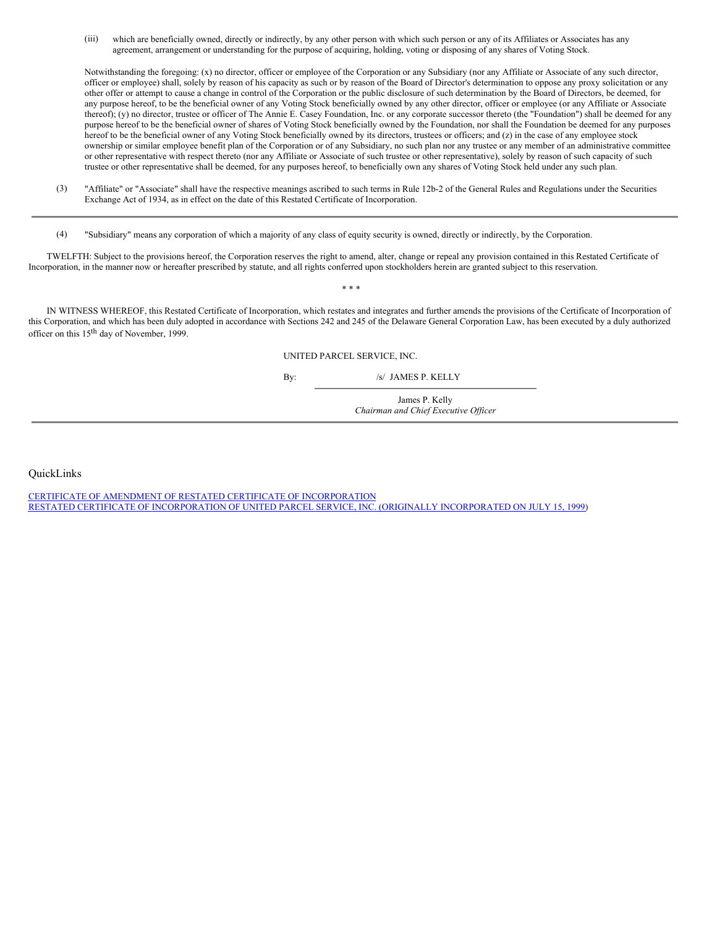(iii) which are beneficially owned, directly or indirectly, by any other person with which such person or any of its Affiliates or Associates has any agreement, arrangement or understanding for the purpose of acquiring, holding, voting or disposing of any shares of Voting Stock.

Notwithstanding the foregoing: (x) no director, officer or employee of the Corporation or any Subsidiary (nor any Affiliate or Associate of any such director, officer or employee) shall, solely by reason of his capacity as such or by reason of the Board of Director's determination to oppose any proxy solicitation or any other offer or attempt to cause a change in control of the Corporation or the public disclosure of such determination by the Board of Directors, be deemed, for any purpose hereof, to be the beneficial owner of any Voting Stock beneficially owned by any other director, officer or employee (or any Affiliate or Associate thereof); (y) no director, trustee or officer of The Annie E. Casey Foundation, Inc. or any corporate successor thereto (the "Foundation") shall be deemed for any purpose hereof to be the beneficial owner of shares of Voting Stock beneficially owned by the Foundation, nor shall the Foundation be deemed for any purposes hereof to be the beneficial owner of any Voting Stock beneficially owned by its directors, trustees or officers; and (z) in the case of any employee stock ownership or similar employee benefit plan of the Corporation or of any Subsidiary, no such plan nor any trustee or any member of an administrative committee or other representative with respect thereto (nor any Affiliate or Associate of such trustee or other representative), solely by reason of such capacity of such trustee or other representative shall be deemed, for any purposes hereof, to beneficially own any shares of Voting Stock held under any such plan.

- (3) "Affiliate" or "Associate" shall have the respective meanings ascribed to such terms in Rule 12b-2 of the General Rules and Regulations under the Securities Exchange Act of 1934, as in effect on the date of this Restated Certificate of Incorporation.
- (4) "Subsidiary" means any corporation of which a majority of any class of equity security is owned, directly or indirectly, by the Corporation.

TWELFTH: Subject to the provisions hereof, the Corporation reserves the right to amend, alter, change or repeal any provision contained in this Restated Certificate of Incorporation, in the manner now or hereafter prescribed by statute, and all rights conferred upon stockholders herein are granted subject to this reservation.

IN WITNESS WHEREOF, this Restated Certificate of Incorporation, which restates and integrates and further amends the provisions of the Certificate of Incorporation of this Corporation, and which has been duly adopted in accordance with Sections 242 and 245 of the Delaware General Corporation Law, has been executed by a duly authorized officer on this 15<sup>th</sup> day of November, 1999.

\* \* \*

UNITED PARCEL SERVICE, INC.

By: /s/ JAMES P. KELLY

James P. Kelly *Chairman and Chief Executive Of icer*

<span id="page-21-0"></span>QuickLinks

CERTIFICATE OF AMENDMENT OF RESTATED CERTIFICATE OF [INCORPORATION](#page-16-0) RESTATED CERTIFICATE OF [INCORPORATION](#page-16-1) OF UNITED PARCEL SERVICE, INC. (ORIGINALLY INCORPORATED ON JULY 15, 1999)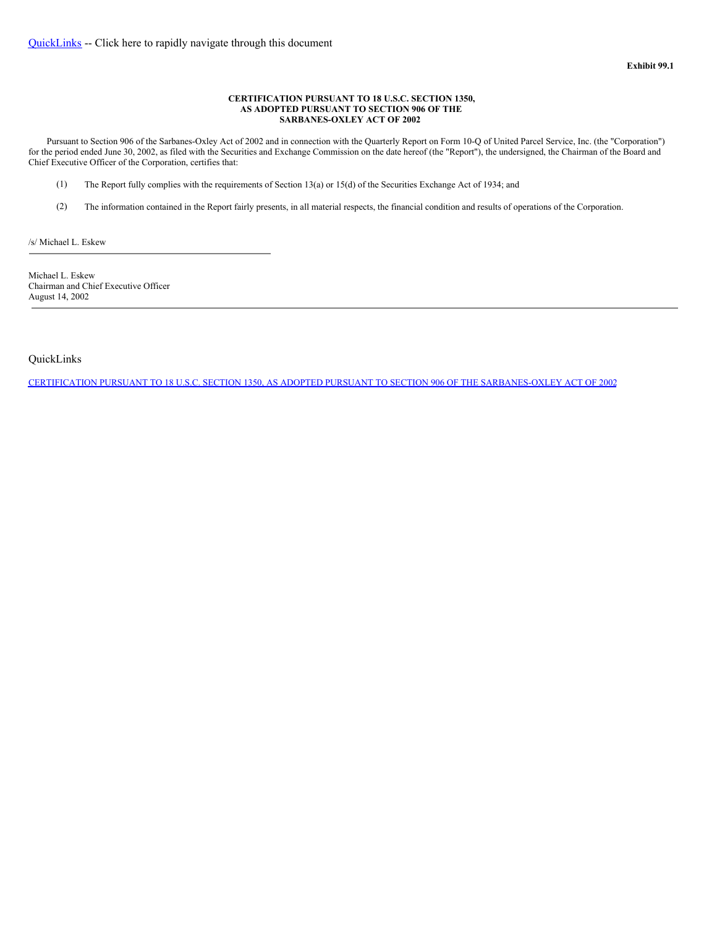#### <span id="page-22-1"></span>**CERTIFICATION PURSUANT TO 18 U.S.C. SECTION 1350, AS ADOPTED PURSUANT TO SECTION 906 OF THE SARBANES-OXLEY ACT OF 2002**

Pursuant to Section 906 of the Sarbanes-Oxley Act of 2002 and in connection with the Quarterly Report on Form 10-Q of United Parcel Service, Inc. (the "Corporation") for the period ended June 30, 2002, as filed with the Securities and Exchange Commission on the date hereof (the "Report"), the undersigned, the Chairman of the Board and Chief Executive Officer of the Corporation, certifies that:

- (1) The Report fully complies with the requirements of Section 13(a) or 15(d) of the Securities Exchange Act of 1934; and
- (2) The information contained in the Report fairly presents, in all material respects, the financial condition and results of operations of the Corporation.

/s/ Michael L. Eskew

Michael L. Eskew Chairman and Chief Executive Officer August 14, 2002

<span id="page-22-0"></span>QuickLinks

CERTIFICATION PURSUANT TO 18 U.S.C. SECTION 1350, AS ADOPTED PURSUANT TO SECTION 906 OF THE [SARBANES-OXLEY](#page-22-1) ACT OF 2002